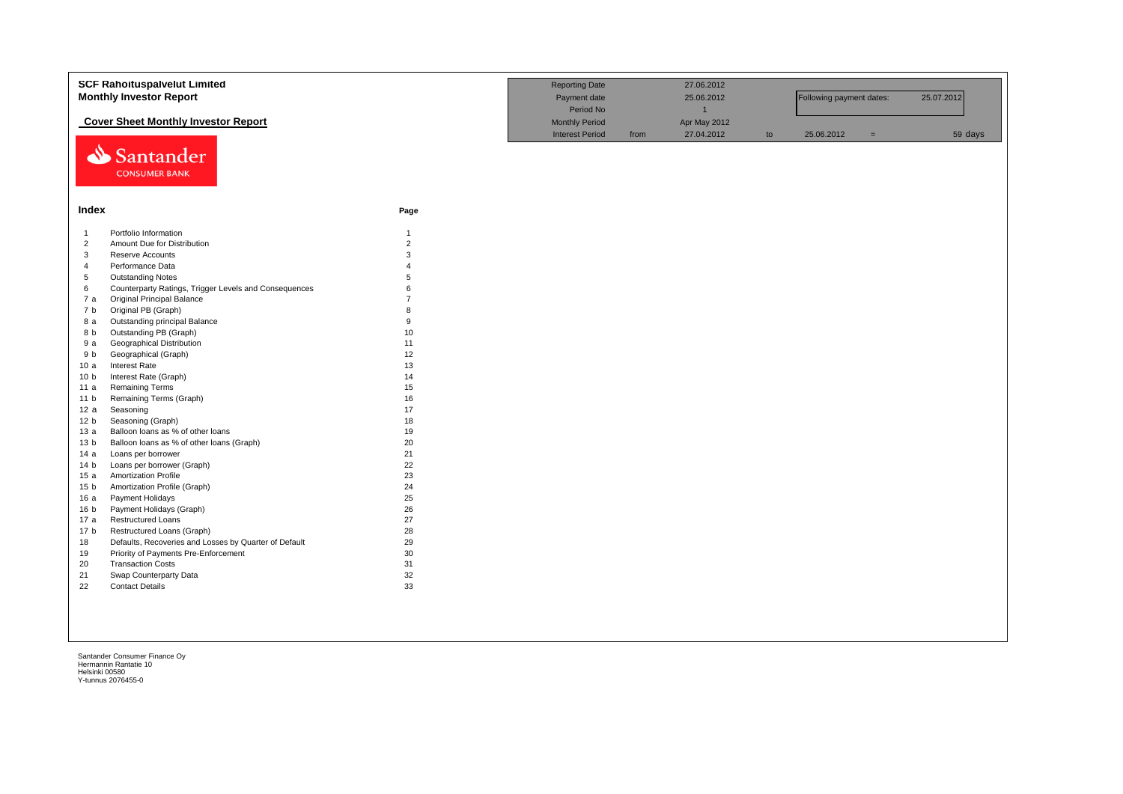|                 | <b>SCF Rahoituspalvelut Limited</b><br><b>Monthly Investor Report</b><br><b>Cover Sheet Monthly Investor Report</b> | <b>Reporting Date</b><br>Payment date<br>Period No<br><b>Monthly Period</b> |                        | 27.06.2012<br>25.06.2012<br>$\overline{1}$<br>Apr May 2012 |            | Following payment dates: |            | 25.07.2012 |         |
|-----------------|---------------------------------------------------------------------------------------------------------------------|-----------------------------------------------------------------------------|------------------------|------------------------------------------------------------|------------|--------------------------|------------|------------|---------|
| ⇘               | Santander<br><b>CONSUMER BANK</b>                                                                                   |                                                                             | <b>Interest Period</b> | from                                                       | 27.04.2012 | to                       | 25.06.2012 | $=$        | 59 days |
| Index           |                                                                                                                     | Page                                                                        |                        |                                                            |            |                          |            |            |         |
| $\mathbf{1}$    | Portfolio Information                                                                                               | $\mathbf{1}$                                                                |                        |                                                            |            |                          |            |            |         |
| $\overline{2}$  | Amount Due for Distribution                                                                                         | $\overline{2}$                                                              |                        |                                                            |            |                          |            |            |         |
| 3               | Reserve Accounts                                                                                                    | 3                                                                           |                        |                                                            |            |                          |            |            |         |
| $\overline{4}$  | Performance Data                                                                                                    |                                                                             |                        |                                                            |            |                          |            |            |         |
| $\,$ 5 $\,$     | <b>Outstanding Notes</b>                                                                                            | 5                                                                           |                        |                                                            |            |                          |            |            |         |
| 6               | Counterparty Ratings, Trigger Levels and Consequences                                                               | 6                                                                           |                        |                                                            |            |                          |            |            |         |
| 7a              | <b>Original Principal Balance</b>                                                                                   | $\overline{7}$                                                              |                        |                                                            |            |                          |            |            |         |
| 7 b             | Original PB (Graph)                                                                                                 | $\mathsf{R}$                                                                |                        |                                                            |            |                          |            |            |         |
| 8 a             | Outstanding principal Balance                                                                                       | 9                                                                           |                        |                                                            |            |                          |            |            |         |
| 8 b             | Outstanding PB (Graph)                                                                                              | 10                                                                          |                        |                                                            |            |                          |            |            |         |
| 9a              | Geographical Distribution                                                                                           | 11                                                                          |                        |                                                            |            |                          |            |            |         |
| 9 b             | Geographical (Graph)                                                                                                | 12                                                                          |                        |                                                            |            |                          |            |            |         |
| 10a             | Interest Rate                                                                                                       | 13                                                                          |                        |                                                            |            |                          |            |            |         |
| 10 <sub>b</sub> | Interest Rate (Graph)                                                                                               | 14                                                                          |                        |                                                            |            |                          |            |            |         |
| 11 a            | <b>Remaining Terms</b>                                                                                              | 15                                                                          |                        |                                                            |            |                          |            |            |         |
| 11 <sub>b</sub> | Remaining Terms (Graph)                                                                                             | 16                                                                          |                        |                                                            |            |                          |            |            |         |
| 12a             | Seasoning                                                                                                           | 17                                                                          |                        |                                                            |            |                          |            |            |         |
| 12 <sub>b</sub> | Seasoning (Graph)                                                                                                   | 18                                                                          |                        |                                                            |            |                          |            |            |         |
| 13a             | Balloon loans as % of other loans                                                                                   | 19                                                                          |                        |                                                            |            |                          |            |            |         |
| 13 <sub>b</sub> | Balloon loans as % of other loans (Graph)                                                                           | 20                                                                          |                        |                                                            |            |                          |            |            |         |
| 14 a            | Loans per borrower                                                                                                  | 21                                                                          |                        |                                                            |            |                          |            |            |         |
| 14 <sub>b</sub> | Loans per borrower (Graph)                                                                                          | 22                                                                          |                        |                                                            |            |                          |            |            |         |
| 15a             | <b>Amortization Profile</b>                                                                                         | 23                                                                          |                        |                                                            |            |                          |            |            |         |
| 15 <sub>b</sub> | Amortization Profile (Graph)                                                                                        | 24                                                                          |                        |                                                            |            |                          |            |            |         |
| 16 a            | Payment Holidays                                                                                                    | 25                                                                          |                        |                                                            |            |                          |            |            |         |
| 16 <sub>b</sub> | Payment Holidays (Graph)                                                                                            | 26                                                                          |                        |                                                            |            |                          |            |            |         |
| 17 a            | <b>Restructured Loans</b>                                                                                           | 27                                                                          |                        |                                                            |            |                          |            |            |         |
| 17 <sub>b</sub> | Restructured Loans (Graph)                                                                                          | 28                                                                          |                        |                                                            |            |                          |            |            |         |
| 18              | Defaults, Recoveries and Losses by Quarter of Default                                                               | 29                                                                          |                        |                                                            |            |                          |            |            |         |
| 19              | Priority of Payments Pre-Enforcement                                                                                | 30                                                                          |                        |                                                            |            |                          |            |            |         |
| 20              | <b>Transaction Costs</b>                                                                                            | 31                                                                          |                        |                                                            |            |                          |            |            |         |
| 21              | Swap Counterparty Data                                                                                              | 32                                                                          |                        |                                                            |            |                          |            |            |         |
| 22              | <b>Contact Details</b>                                                                                              | 33                                                                          |                        |                                                            |            |                          |            |            |         |
|                 |                                                                                                                     |                                                                             |                        |                                                            |            |                          |            |            |         |
|                 |                                                                                                                     |                                                                             |                        |                                                            |            |                          |            |            |         |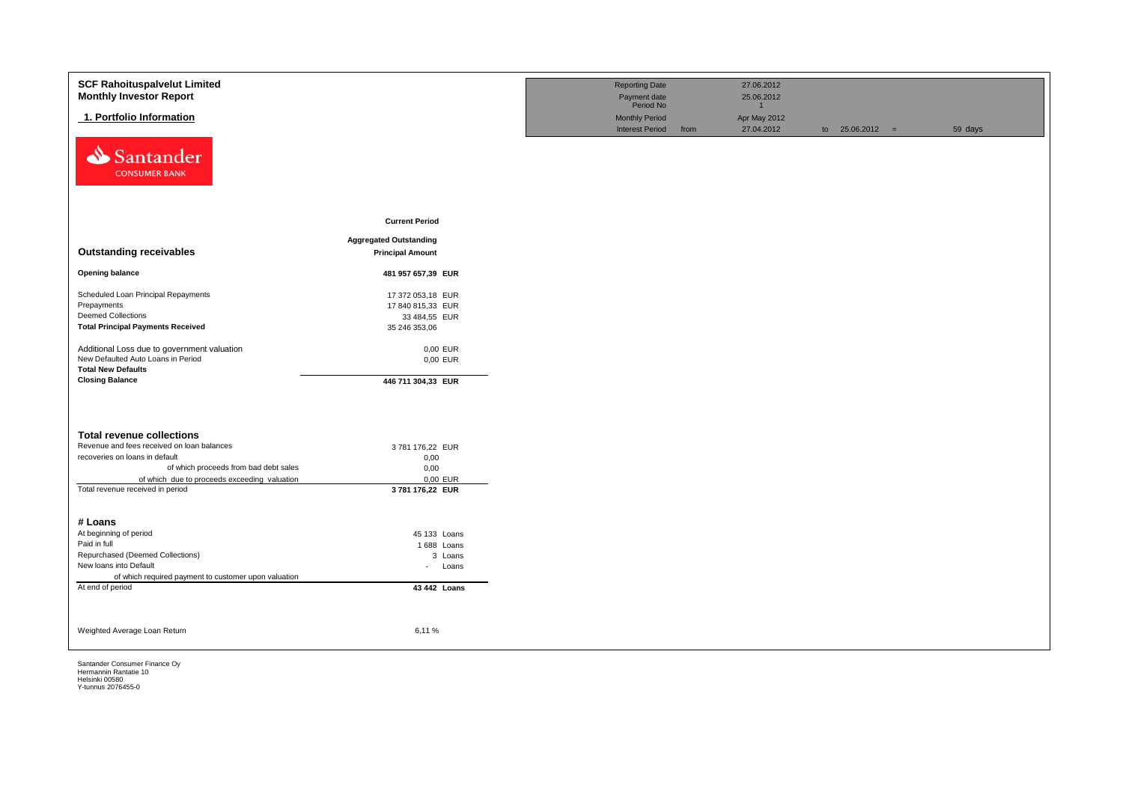| <b>SCF Rahoituspalvelut Limited</b><br><b>Monthly Investor Report</b>            |                               | <b>Reporting Date</b><br>Payment date                        |      | 27.06.2012<br>25.06.2012   |                   |         |
|----------------------------------------------------------------------------------|-------------------------------|--------------------------------------------------------------|------|----------------------------|-------------------|---------|
| 1. Portfolio Information                                                         |                               | Period No<br><b>Monthly Period</b><br><b>Interest Period</b> | from | Apr May 2012<br>27.04.2012 | to $25.06.2012 =$ | 59 days |
| Santander<br><b>CONSUMER BANK</b>                                                |                               |                                                              |      |                            |                   |         |
|                                                                                  | <b>Current Period</b>         |                                                              |      |                            |                   |         |
|                                                                                  | <b>Aggregated Outstanding</b> |                                                              |      |                            |                   |         |
| <b>Outstanding receivables</b>                                                   | <b>Principal Amount</b>       |                                                              |      |                            |                   |         |
| <b>Opening balance</b>                                                           | 481 957 657,39 EUR            |                                                              |      |                            |                   |         |
| Scheduled Loan Principal Repayments                                              | 17 372 053,18 EUR             |                                                              |      |                            |                   |         |
| Prepayments                                                                      | 17 840 815,33 EUR             |                                                              |      |                            |                   |         |
| <b>Deemed Collections</b>                                                        | 33 484,55 EUR                 |                                                              |      |                            |                   |         |
| <b>Total Principal Payments Received</b>                                         | 35 246 353,06                 |                                                              |      |                            |                   |         |
| Additional Loss due to government valuation                                      | 0,00 EUR                      |                                                              |      |                            |                   |         |
| New Defaulted Auto Loans in Period                                               | 0,00 EUR                      |                                                              |      |                            |                   |         |
| <b>Total New Defaults</b>                                                        |                               |                                                              |      |                            |                   |         |
| <b>Closing Balance</b>                                                           | 446 711 304,33 EUR            |                                                              |      |                            |                   |         |
|                                                                                  |                               |                                                              |      |                            |                   |         |
| <b>Total revenue collections</b>                                                 |                               |                                                              |      |                            |                   |         |
| Revenue and fees received on loan balances                                       | 3781 176,22 EUR               |                                                              |      |                            |                   |         |
| recoveries on loans in default                                                   | 0,00                          |                                                              |      |                            |                   |         |
| of which proceeds from bad debt sales                                            | 0,00                          |                                                              |      |                            |                   |         |
| of which due to proceeds exceeding valuation<br>Total revenue received in period | 0,00 EUR<br>3781 176,22 EUR   |                                                              |      |                            |                   |         |
|                                                                                  |                               |                                                              |      |                            |                   |         |
| # Loans                                                                          |                               |                                                              |      |                            |                   |         |
| At beginning of period                                                           | 45 133 Loans                  |                                                              |      |                            |                   |         |
| Paid in full                                                                     | 1688 Loans                    |                                                              |      |                            |                   |         |
| Repurchased (Deemed Collections)                                                 | 3 Loans                       |                                                              |      |                            |                   |         |
| New loans into Default                                                           | Loans<br>$\sim$               |                                                              |      |                            |                   |         |
| of which required payment to customer upon valuation                             |                               |                                                              |      |                            |                   |         |
| At end of period                                                                 | 43 442 Loans                  |                                                              |      |                            |                   |         |
| Weighted Average Loan Return                                                     | 6,11%                         |                                                              |      |                            |                   |         |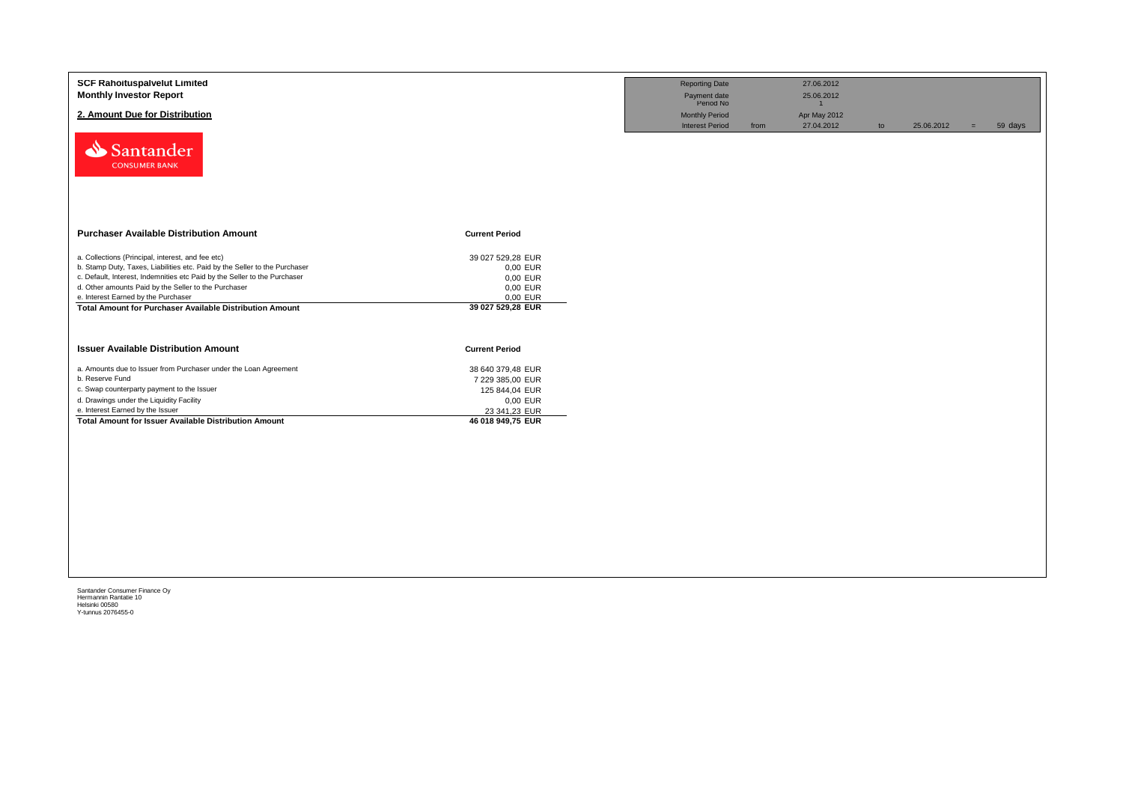| 2. Amount Due for Distribution<br>Santander<br><b>CONSUMER BANK</b>        |                       | <b>Monthly Period</b><br><b>Interest Period</b> | from | Apr May 2012<br>27.04.2012 | to | 25.06.2012 | $=$ | 59 days |
|----------------------------------------------------------------------------|-----------------------|-------------------------------------------------|------|----------------------------|----|------------|-----|---------|
|                                                                            |                       |                                                 |      |                            |    |            |     |         |
|                                                                            |                       |                                                 |      |                            |    |            |     |         |
| <b>Purchaser Available Distribution Amount</b>                             | <b>Current Period</b> |                                                 |      |                            |    |            |     |         |
| a. Collections (Principal, interest, and fee etc)                          | 39 027 529,28 EUR     |                                                 |      |                            |    |            |     |         |
| b. Stamp Duty, Taxes, Liabilities etc. Paid by the Seller to the Purchaser | 0,00 EUR              |                                                 |      |                            |    |            |     |         |
| c. Default, Interest, Indemnities etc Paid by the Seller to the Purchaser  | 0,00 EUR              |                                                 |      |                            |    |            |     |         |
| d. Other amounts Paid by the Seller to the Purchaser                       | 0,00 EUR              |                                                 |      |                            |    |            |     |         |
| e. Interest Earned by the Purchaser                                        | 0,00 EUR              |                                                 |      |                            |    |            |     |         |
| <b>Total Amount for Purchaser Available Distribution Amount</b>            | 39 027 529,28 EUR     |                                                 |      |                            |    |            |     |         |
| <b>Issuer Available Distribution Amount</b>                                | <b>Current Period</b> |                                                 |      |                            |    |            |     |         |
| a. Amounts due to Issuer from Purchaser under the Loan Agreement           | 38 640 379,48 EUR     |                                                 |      |                            |    |            |     |         |
| b. Reserve Fund                                                            | 7 229 385,00 EUR      |                                                 |      |                            |    |            |     |         |
| c. Swap counterparty payment to the Issuer                                 | 125 844,04 EUR        |                                                 |      |                            |    |            |     |         |
| d. Drawings under the Liquidity Facility                                   | 0,00 EUR              |                                                 |      |                            |    |            |     |         |
| e. Interest Earned by the Issuer                                           | 23 341,23 EUR         |                                                 |      |                            |    |            |     |         |
| Total Amount for Issuer Available Distribution Amount                      | 46 018 949,75 EUR     |                                                 |      |                            |    |            |     |         |
|                                                                            |                       |                                                 |      |                            |    |            |     |         |
|                                                                            |                       |                                                 |      |                            |    |            |     |         |
|                                                                            |                       |                                                 |      |                            |    |            |     |         |
|                                                                            |                       |                                                 |      |                            |    |            |     |         |
|                                                                            |                       |                                                 |      |                            |    |            |     |         |
|                                                                            |                       |                                                 |      |                            |    |            |     |         |
|                                                                            |                       |                                                 |      |                            |    |            |     |         |
|                                                                            |                       |                                                 |      |                            |    |            |     |         |
|                                                                            |                       |                                                 |      |                            |    |            |     |         |
|                                                                            |                       |                                                 |      |                            |    |            |     |         |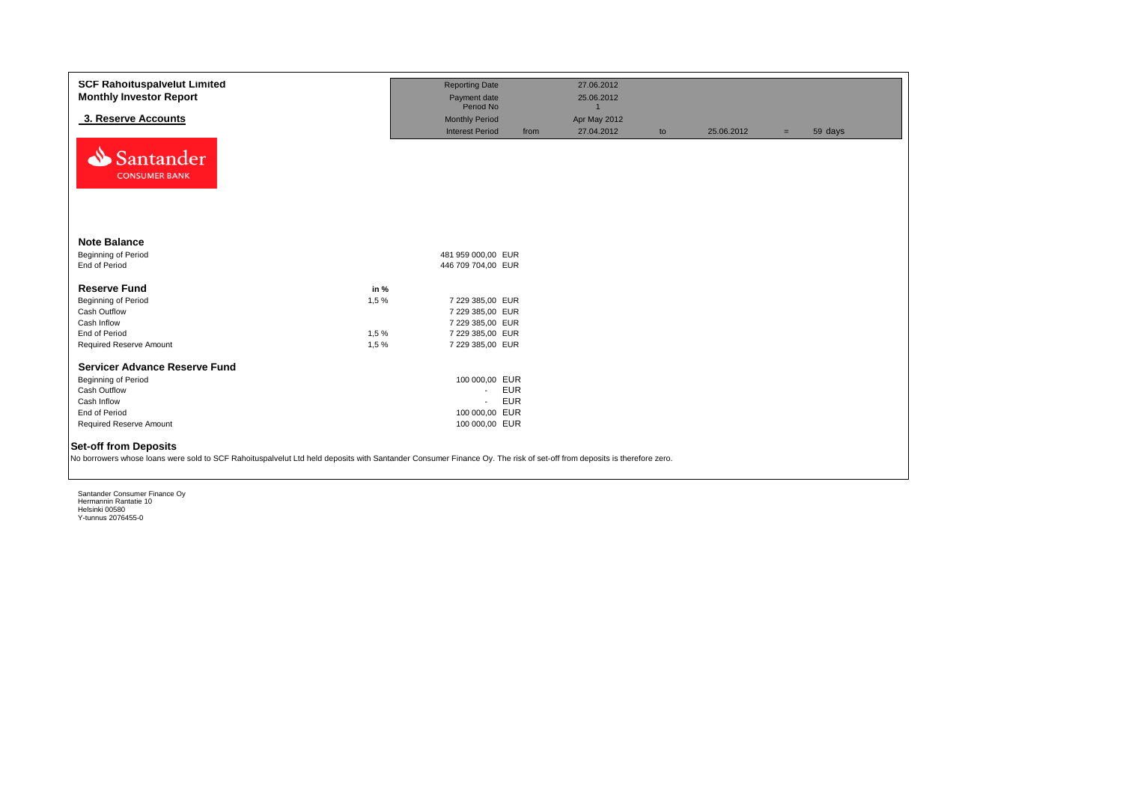| <b>SCF Rahoituspalvelut Limited</b>                                                                                                                                                                   |       | <b>Reporting Date</b>     |            | 27.06.2012                 |    |            |     |         |
|-------------------------------------------------------------------------------------------------------------------------------------------------------------------------------------------------------|-------|---------------------------|------------|----------------------------|----|------------|-----|---------|
| <b>Monthly Investor Report</b>                                                                                                                                                                        |       | Payment date<br>Period No |            | 25.06.2012<br>$\mathbf{1}$ |    |            |     |         |
| 3. Reserve Accounts                                                                                                                                                                                   |       | <b>Monthly Period</b>     |            | Apr May 2012               |    |            |     |         |
|                                                                                                                                                                                                       |       | <b>Interest Period</b>    | from       | 27.04.2012                 | to | 25.06.2012 | $=$ | 59 days |
| Santander<br><b>CONSUMER BANK</b>                                                                                                                                                                     |       |                           |            |                            |    |            |     |         |
| <b>Note Balance</b>                                                                                                                                                                                   |       |                           |            |                            |    |            |     |         |
| Beginning of Period                                                                                                                                                                                   |       | 481 959 000,00 EUR        |            |                            |    |            |     |         |
| End of Period                                                                                                                                                                                         |       | 446 709 704,00 EUR        |            |                            |    |            |     |         |
| <b>Reserve Fund</b>                                                                                                                                                                                   | in %  |                           |            |                            |    |            |     |         |
| Beginning of Period                                                                                                                                                                                   | 1,5%  | 7 229 385,00 EUR          |            |                            |    |            |     |         |
| Cash Outflow                                                                                                                                                                                          |       | 7 229 385,00 EUR          |            |                            |    |            |     |         |
| Cash Inflow                                                                                                                                                                                           |       | 7 229 385,00 EUR          |            |                            |    |            |     |         |
| End of Period                                                                                                                                                                                         | 1,5%  | 7 229 385,00 EUR          |            |                            |    |            |     |         |
| Required Reserve Amount                                                                                                                                                                               | 1,5 % | 7 229 385,00 EUR          |            |                            |    |            |     |         |
| <b>Servicer Advance Reserve Fund</b>                                                                                                                                                                  |       |                           |            |                            |    |            |     |         |
| Beginning of Period                                                                                                                                                                                   |       | 100 000,00 EUR            |            |                            |    |            |     |         |
| Cash Outflow                                                                                                                                                                                          |       | $\sim$                    | <b>EUR</b> |                            |    |            |     |         |
| Cash Inflow                                                                                                                                                                                           |       | $\sim$                    | <b>EUR</b> |                            |    |            |     |         |
| End of Period                                                                                                                                                                                         |       | 100 000,00 EUR            |            |                            |    |            |     |         |
| Required Reserve Amount                                                                                                                                                                               |       | 100 000,00 EUR            |            |                            |    |            |     |         |
| <b>Set-off from Deposits</b><br>No borrowers whose loans were sold to SCF Rahoituspalvelut Ltd held deposits with Santander Consumer Finance Oy. The risk of set-off from deposits is therefore zero. |       |                           |            |                            |    |            |     |         |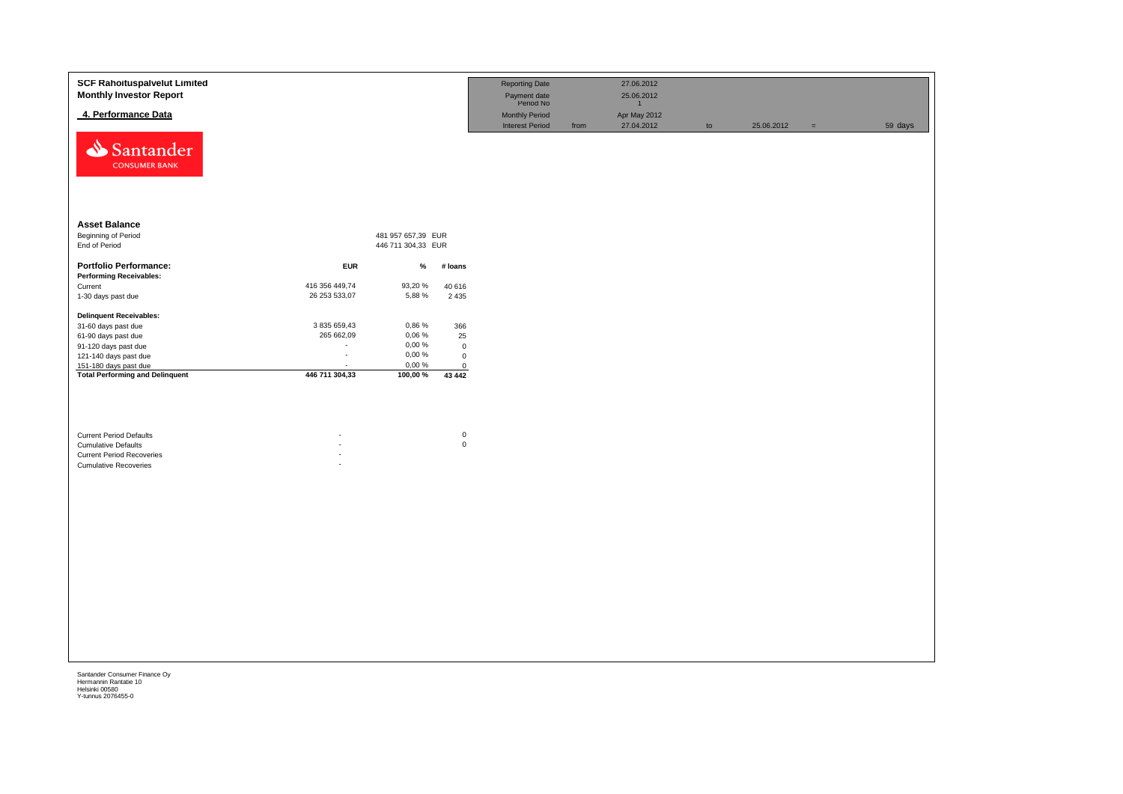| <b>SCF Rahoituspalvelut Limited</b><br><b>Monthly Investor Report</b>                                                            |                |                    |                          | <b>Reporting Date</b><br>Payment date<br>Period No |      | 27.06.2012<br>25.06.2012<br>$\mathbf{1}$ |    |            |          |         |
|----------------------------------------------------------------------------------------------------------------------------------|----------------|--------------------|--------------------------|----------------------------------------------------|------|------------------------------------------|----|------------|----------|---------|
| 4. Performance Data                                                                                                              |                |                    |                          | <b>Monthly Period</b>                              |      | Apr May 2012                             |    |            |          |         |
| Santander<br><b>CONSUMER BANK</b>                                                                                                |                |                    |                          | <b>Interest Period</b>                             | from | 27.04.2012                               | to | 25.06.2012 | $\equiv$ | 59 days |
| <b>Asset Balance</b>                                                                                                             |                |                    |                          |                                                    |      |                                          |    |            |          |         |
| <b>Beginning of Period</b>                                                                                                       |                | 481 957 657,39 EUR |                          |                                                    |      |                                          |    |            |          |         |
| End of Period                                                                                                                    |                | 446 711 304,33 EUR |                          |                                                    |      |                                          |    |            |          |         |
| <b>Portfolio Performance:</b>                                                                                                    | <b>EUR</b>     | $\%$               | # loans                  |                                                    |      |                                          |    |            |          |         |
| <b>Performing Receivables:</b>                                                                                                   |                |                    |                          |                                                    |      |                                          |    |            |          |         |
| Current                                                                                                                          | 416 356 449,74 | 93,20 %            | 40 616                   |                                                    |      |                                          |    |            |          |         |
| 1-30 days past due                                                                                                               | 26 253 533,07  | 5,88 %             | 2 4 3 5                  |                                                    |      |                                          |    |            |          |         |
| <b>Delinquent Receivables:</b>                                                                                                   |                |                    |                          |                                                    |      |                                          |    |            |          |         |
| 31-60 days past due                                                                                                              | 3 835 659,43   | 0,86 %             | 366                      |                                                    |      |                                          |    |            |          |         |
| 61-90 days past due                                                                                                              | 265 662,09     | 0,06 %             | 25                       |                                                    |      |                                          |    |            |          |         |
| 91-120 days past due                                                                                                             |                | $0,00 \%$          | $\mathbf 0$              |                                                    |      |                                          |    |            |          |         |
| 121-140 days past due                                                                                                            | $\epsilon$     | 0,00 %             | $\mathbf 0$              |                                                    |      |                                          |    |            |          |         |
| 151-180 days past due                                                                                                            |                | 0,00 %             | $\mathbf 0$              |                                                    |      |                                          |    |            |          |         |
| <b>Total Performing and Delinquent</b>                                                                                           | 446 711 304,33 | 100,00 %           | 43 442                   |                                                    |      |                                          |    |            |          |         |
| <b>Current Period Defaults</b><br><b>Cumulative Defaults</b><br><b>Current Period Recoveries</b><br><b>Cumulative Recoveries</b> |                |                    | $\pmb{0}$<br>$\mathbf 0$ |                                                    |      |                                          |    |            |          |         |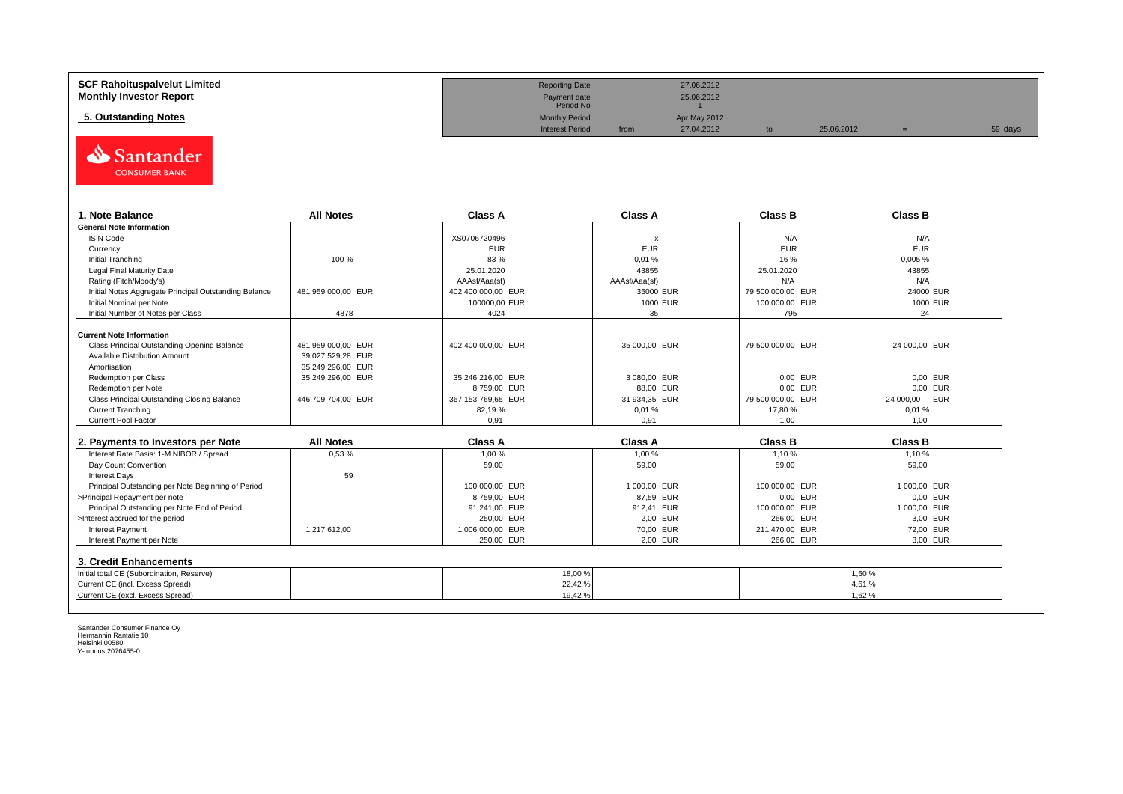| <b>SCF Rahoituspalvelut Limited</b> | <b>Reporting Date</b>     |      | 27.06.2012   |    |            |         |
|-------------------------------------|---------------------------|------|--------------|----|------------|---------|
| <b>Monthly Investor Report</b>      | Payment date<br>Period No |      | 25.06.2012   |    |            |         |
| 5. Outstanding Notes                | <b>Monthly Period</b>     |      | Apr May 2012 |    |            |         |
|                                     | <b>Interest Period</b>    | from | 27.04.2012   | to | 25.06.2012 | 59 days |



| 1. Note Balance                                       | <b>All Notes</b>   | Class A            | <b>Class A</b> | <b>Class B</b>    | <b>Class B</b>   |
|-------------------------------------------------------|--------------------|--------------------|----------------|-------------------|------------------|
| <b>General Note Information</b>                       |                    |                    |                |                   |                  |
| <b>ISIN Code</b>                                      |                    | XS0706720496       | x              | N/A               | N/A              |
| Currency                                              |                    | <b>EUR</b>         | <b>EUR</b>     | <b>EUR</b>        | <b>EUR</b>       |
| Initial Tranching                                     | 100 %              | 83 %               | 0,01%          | 16 %              | 0,005 %          |
| Legal Final Maturity Date                             |                    | 25.01.2020         | 43855          | 25.01.2020        | 43855            |
| Rating (Fitch/Moody's)                                |                    | AAAsf/Aaa(sf)      | AAAsf/Aaa(sf)  | N/A               | N/A              |
| Initial Notes Aggregate Principal Outstanding Balance | 481 959 000,00 EUR | 402 400 000,00 EUR | 35000 EUR      | 79 500 000,00 EUR | 24000 EUR        |
| Initial Nominal per Note                              |                    | 100000,00 EUR      | 1000 EUR       | 100 000,00 EUR    | 1000 EUR         |
| Initial Number of Notes per Class                     | 4878               | 4024               | 35             | 795               | 24               |
|                                                       |                    |                    |                |                   |                  |
| <b>Current Note Information</b>                       |                    |                    |                |                   |                  |
| Class Principal Outstanding Opening Balance           | 481 959 000.00 EUR | 402 400 000,00 EUR | 35 000,00 EUR  | 79 500 000,00 EUR | 24 000,00 EUR    |
| Available Distribution Amount                         | 39 027 529.28 EUR  |                    |                |                   |                  |
| Amortisation                                          | 35 249 296.00 EUR  |                    |                |                   |                  |
| Redemption per Class                                  | 35 249 296,00 EUR  | 35 246 216.00 EUR  | 3 080,00 EUR   | 0.00 EUR          | 0.00 EUR         |
| Redemption per Note                                   |                    | 8759.00 EUR        | 88,00 EUR      | 0.00 EUR          | 0,00 EUR         |
| Class Principal Outstanding Closing Balance           | 446 709 704,00 EUR | 367 153 769,65 EUR | 31 934,35 EUR  | 79 500 000,00 EUR | 24 000,00<br>EUR |
| <b>Current Tranching</b>                              |                    | 82,19%             | 0.01%          | 17,80 %           | 0,01%            |
| Current Pool Factor                                   |                    | 0,91               | 0,91           | 1.00              | 1,00             |

| 2. Payments to Investors per Note                  | <b>All Notes</b> | Class A          | <b>Class A</b> | <b>Class B</b> | <b>Class B</b> |
|----------------------------------------------------|------------------|------------------|----------------|----------------|----------------|
| Interest Rate Basis: 1-M NIBOR / Spread            | 0.53%            | 1.00 %           | 1.00 %         | 1.10%          | 1.10 %         |
| Day Count Convention                               |                  | 59,00            | 59,00          | 59,00          | 59,00          |
| <b>Interest Days</b>                               | 59               |                  |                |                |                |
| Principal Outstanding per Note Beginning of Period |                  | 100 000,00 EUR   | 1 000.00 EUR   | 100 000,00 EUR | 1 000.00 EUR   |
| >Principal Repayment per note                      |                  | 8759.00 EUR      | 87.59 EUR      | 0.00 EUR       | 0.00 EUR       |
| Principal Outstanding per Note End of Period       |                  | 91 241.00 EUR    | 912.41 EUR     | 100 000,00 EUR | 1 000.00 EUR   |
| >Interest accrued for the period                   |                  | 250.00 EUR       | 2.00 EUR       | 266.00 EUR     | 3.00 EUR       |
| <b>Interest Payment</b>                            | 1217612.00       | 1 006 000.00 EUR | 70.00 EUR      | 211 470.00 EUR | 72.00 EUR      |
| Interest Payment per Note                          |                  | 250.00 EUR       | 2,00 EUR       | 266,00 EUR     | 3,00 EUR       |
| 3. Credit Enhancements                             |                  |                  |                |                |                |
| Initial total CE (Subordination, Reserve)          |                  |                  | 18,00%         |                | 1.50 %         |
| Current CE (incl. Excess Spread)                   |                  |                  | 22,42 %        |                | 4,61 %         |
| Current CE (excl. Excess Spread)                   |                  |                  | 19,42 %        |                | 1.62 %         |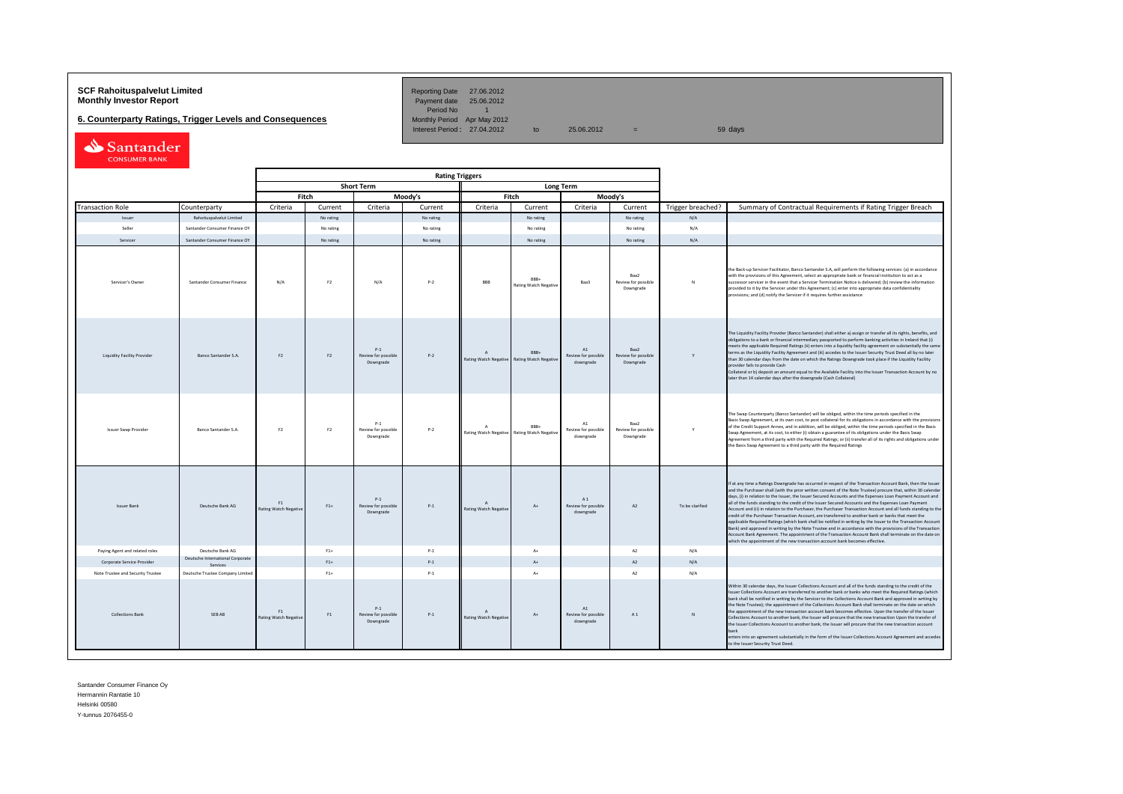## **SCF Rahoituspalvelut Limited Community Community Community Reporting Date 27.06.2012<br><b>Monthly Investor Report** Payment date 25.06.2012

**6. Counterparty Ratings, Trigger Levels and Consequences** 

Period No 1<br>Monthly Period Apr May 2012 Interest Period: 27.04.2012 to 25.06.2012 = 59 days

| Santander            |  |
|----------------------|--|
| <b>CONSUMER BANK</b> |  |

|                                   |  |                                              |                                                |                |                                           | <b>Rating Triggers</b> |                                              |                                      |                                                 |                                          |                   |                                                                                                                                                                                                                                                                                                                                                                                                                                                                                                                                                                                                                                                                                                                                                                                                                                                                                                                                                                                                                                                                                                      |
|-----------------------------------|--|----------------------------------------------|------------------------------------------------|----------------|-------------------------------------------|------------------------|----------------------------------------------|--------------------------------------|-------------------------------------------------|------------------------------------------|-------------------|------------------------------------------------------------------------------------------------------------------------------------------------------------------------------------------------------------------------------------------------------------------------------------------------------------------------------------------------------------------------------------------------------------------------------------------------------------------------------------------------------------------------------------------------------------------------------------------------------------------------------------------------------------------------------------------------------------------------------------------------------------------------------------------------------------------------------------------------------------------------------------------------------------------------------------------------------------------------------------------------------------------------------------------------------------------------------------------------------|
|                                   |  |                                              |                                                |                | <b>Short Term</b>                         |                        |                                              |                                      | <b>Long Term</b>                                |                                          |                   |                                                                                                                                                                                                                                                                                                                                                                                                                                                                                                                                                                                                                                                                                                                                                                                                                                                                                                                                                                                                                                                                                                      |
|                                   |  |                                              | Fitch                                          |                | Moody's                                   |                        | Fitch                                        |                                      | Moody's                                         |                                          |                   |                                                                                                                                                                                                                                                                                                                                                                                                                                                                                                                                                                                                                                                                                                                                                                                                                                                                                                                                                                                                                                                                                                      |
| <b>Transaction Role</b>           |  | Counterparty                                 | Criteria                                       | Current        | Criteria                                  | Current                | Criteria                                     | Current                              | Criteria                                        | Current                                  | Trigger breached? | Summary of Contractual Requirements if Rating Trigger Breach                                                                                                                                                                                                                                                                                                                                                                                                                                                                                                                                                                                                                                                                                                                                                                                                                                                                                                                                                                                                                                         |
| Issuer                            |  | Rahoituspalvelut Limited                     |                                                | No rating      |                                           | No rating              |                                              | No rating                            |                                                 | No rating                                | N/A               |                                                                                                                                                                                                                                                                                                                                                                                                                                                                                                                                                                                                                                                                                                                                                                                                                                                                                                                                                                                                                                                                                                      |
| Seller                            |  | Santander Consumer Finance OY                |                                                | No rating      |                                           | No rating              |                                              | No rating                            |                                                 | No rating                                | N/A               |                                                                                                                                                                                                                                                                                                                                                                                                                                                                                                                                                                                                                                                                                                                                                                                                                                                                                                                                                                                                                                                                                                      |
| Servicer                          |  | Santander Consumer Finance OY                |                                                | No rating      |                                           | No rating              |                                              | No rating                            |                                                 | No rating                                | N/A               |                                                                                                                                                                                                                                                                                                                                                                                                                                                                                                                                                                                                                                                                                                                                                                                                                                                                                                                                                                                                                                                                                                      |
| Servicer's Owner                  |  | Santander Consumer Finance                   | N/A                                            | F <sub>2</sub> | N/A                                       | $P-2$                  | BBB                                          | RRR-<br><b>Rating Watch Negative</b> | Baa3                                            | Raa2<br>Review for possible<br>Downgrade | N                 | the Back-up Servicer Facilitator, Banco Santander S.A, will perform the following services: (a) in accordance<br>with the provisions of this Agreement, select an appropriate bank or financial institution to act as a<br>successor servicer in the event that a Servicer Termination Notice is delivered; (b) review the information<br>rovided to it by the Servicer under this Agreement; (c) enter into appropriate data confidentiality<br>rovisions; and (d) notify the Servicer if it requires further assistance                                                                                                                                                                                                                                                                                                                                                                                                                                                                                                                                                                            |
| Liquidity Facility Provider       |  | Banco Santander S.A.                         | F <sub>2</sub>                                 | F <sub>2</sub> | $P-1$<br>Review for possible<br>Downgrade | $P-2$                  | $\overline{A}$<br>Rating Watch Negative      | RRR-<br><b>Rating Watch Negativ</b>  | $\Lambda$ 1<br>Review for possible<br>downgrade | Raa2<br>Review for possible<br>Downgrade | Y                 | The Liquidity Facility Provider (Banco Santander) shall either a) assign or transfer all its rights, benefits, and<br>obligations to a bank or financial intermediary passported to perform banking activities in Ireland that (i)<br>meets the applicable Required Ratings (ii) enters into a liquidity facility agreement on substantially the same<br>terms as the Liquidity Facility Agreement and (iii) accedes to the Issuer Security Trust Deed all by no later<br>than 30 calendar days from the date on which the Ratings Downgrade took place if the Liquidity Facility<br>provider fails to provide Cash<br>Collateral or b) deposit an amount equal to the Available Facility into the Issuer Transaction Account by no<br>later than 14 calendar days after the downgrade (Cash Collateral)                                                                                                                                                                                                                                                                                             |
| <b>Issuer Swap Provider</b>       |  | Banco Santander S.A.                         | F <sub>2</sub>                                 | F <sub>2</sub> | $P-1$<br>Review for possible<br>Downgrade | $P-2$                  | A<br>Rating Watch Negative                   | RRR+<br><b>Rating Watch Negativ</b>  | A1<br>Review for possible<br>downgrade          | Baa2<br>Review for possible<br>Downgrade | Y                 | The Swap Counterparty (Banco Santander) will be obliged, within the time periods specified in the<br>Basis Swap Agreement, at its own cost, to post collateral for its obligations in accordance with the provisions<br>of the Credit Support Annex, and in addition, will be obliged, within the time periods specified in the Basis<br>Swap Agreement, at its cost, to either (i) obtain a guarantee of its obligations under the Basis Swap<br>Agreement from a third party with the Required Ratings; or (ii) transfer all of its rights and obligations under<br>the Basis Swap Agreement to a third party with the Required Ratings                                                                                                                                                                                                                                                                                                                                                                                                                                                            |
| <b>Issuer Bank</b>                |  | Deutsche Bank AG                             | F <sub>1</sub><br><b>Rating Watch Negative</b> | $F1+$          | $P-1$<br>Review for possible<br>Downgrade | $P-1$                  | $\mathsf{A}$<br><b>Rating Watch Negative</b> | $A+$                                 | A1<br>Review for possible<br>downgrade          | A2                                       | To be clarified   | If at any time a Ratings Downgrade has occurred in respect of the Transaction Account Bank, then the Issuer<br>and the Purchaser shall (with the prior written consent of the Note Trustee) procure that, within 30 calendar<br>days, (i) in relation to the Issuer, the Issuer Secured Accounts and the Expenses Loan Payment Account and<br>all of the funds standing to the credit of the Issuer Secured Accounts and the Expenses Loan Payment<br>Account and (ii) in relation to the Purchaser, the Purchaser Transaction Account and all funds standing to the<br>credit of the Purchaser Transaction Account, are transferred to another bank or banks that meet the<br>applicable Required Ratings (which bank shall be notified in writing by the Issuer to the Transaction Account<br>Bank) and approved in writing by the Note Trustee and in accordance with the provisions of the Transaction<br>Account Bank Agreement. The appointment of the Transaction Account Bank shall terminate on the date on<br>which the appointment of the new transaction account bank becomes effective. |
| Paying Agent and related roles    |  | Deutsche Bank AG                             |                                                | $F1+$          |                                           | $P-1$                  |                                              | $A +$                                |                                                 | A2                                       | N/A               |                                                                                                                                                                                                                                                                                                                                                                                                                                                                                                                                                                                                                                                                                                                                                                                                                                                                                                                                                                                                                                                                                                      |
| Corporate Service Provider        |  | Deutsche International Corporate<br>Services |                                                | $F1+$          |                                           | $P-1$                  |                                              | $\Delta$                             |                                                 | A2                                       | N/A               |                                                                                                                                                                                                                                                                                                                                                                                                                                                                                                                                                                                                                                                                                                                                                                                                                                                                                                                                                                                                                                                                                                      |
| Note Trustee and Security Trustee |  | Deutsche Trustee Company Limited             |                                                | $F1+$          |                                           | $P-1$                  |                                              | $\Lambda +$                          |                                                 | A2                                       | N/A               |                                                                                                                                                                                                                                                                                                                                                                                                                                                                                                                                                                                                                                                                                                                                                                                                                                                                                                                                                                                                                                                                                                      |
| <b>Collections Bank</b>           |  | SEB AB                                       | F1<br>Rating Watch Negative                    | F1             | $P-1$<br>Review for possible<br>Downgrade | $P-1$                  | Rating Watch Negative                        | $A+$                                 | A1<br>Review for possible<br>downgrade          | A1                                       | $\mathbb{N}$      | Within 30 calendar days, the Issuer Collections Account and all of the funds standing to the credit of the<br>issuer Collections Account are transferred to another bank or banks who meet the Required Ratings (which<br>bank shall be notified in writing by the Servicer to the Collections Account Bank and approved in writing by<br>the Note Trustee); the appointment of the Collections Account Bank shall terminate on the date on which<br>he appointment of the new transaction account bank becomes effective. Upon the transfer of the Issuer<br>Collections Account to another bank, the Issuer will procure that the new transaction Upon the transfer of<br>the Issuer Collections Acoount to another bank, the Issuer will procure that the new transaction account<br>enters into an agreement substantially in the form of the Issuer Collections Account Agreement and accedes<br>to the Issuer Security Trust Deed.                                                                                                                                                             |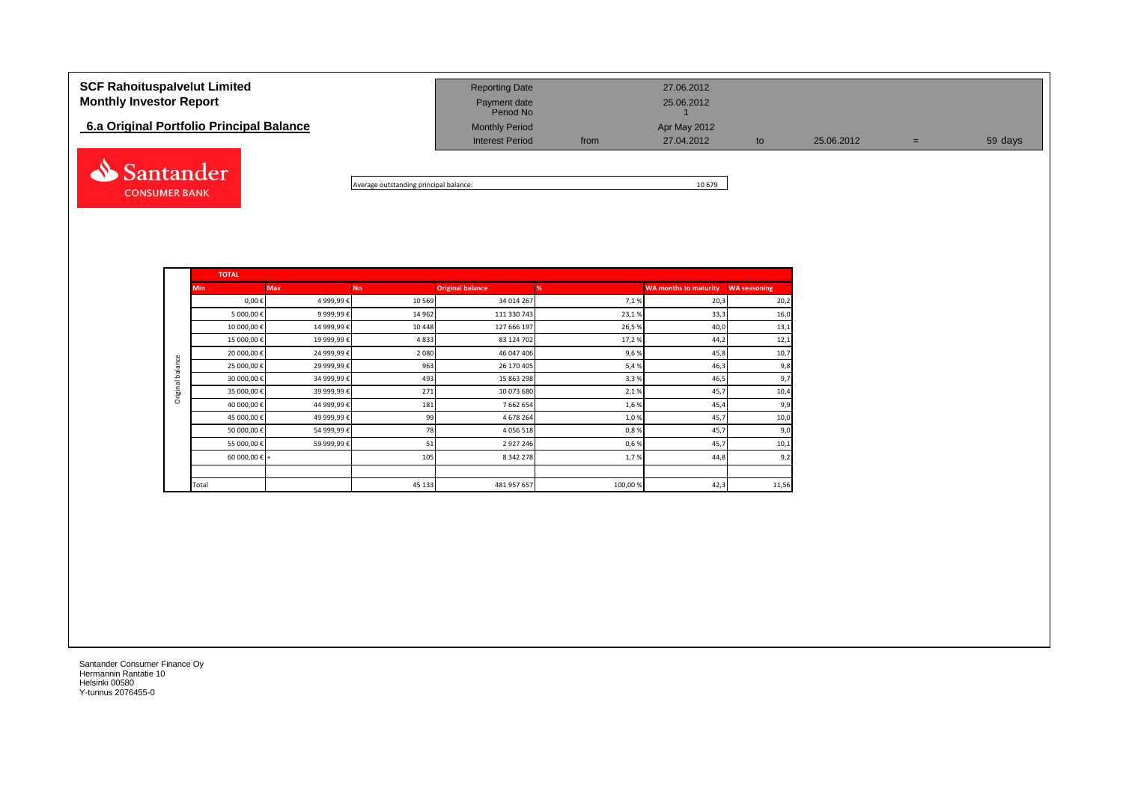| <b>SCF Rahoituspalvelut Limited</b><br><b>Monthly Investor Report</b> | <b>Reporting Date</b><br>Payment date<br>Period No |      | 27.06.2012<br>25.06.2012   |    |            |   |         |
|-----------------------------------------------------------------------|----------------------------------------------------|------|----------------------------|----|------------|---|---------|
| 6.a Original Portfolio Principal Balance                              | <b>Monthly Period</b><br><b>Interest Period</b>    | from | Apr May 2012<br>27.04.2012 | to | 25.06.2012 | = | 59 days |
|                                                                       |                                                    |      |                            |    |            |   |         |

Average outstanding principal balance: 10 679

**TOTAL Min Max No Original balance % WA months to maturity WA seasoning** 0,00 € 4 999,99 € 10 569 34 014 267 34 014 267 7,1 % 34 014 267 34 014 20,3 20,3 20,3 5 000,00 € 9999,99 € 14 962 111 330 743 23,1 % 33,3 33,3 450 10 000,00 € 14 999,99 € 10 448 127 666 197 26,5 % 26,5 % 40,0 13,1 15 000,00 € 19 999,99 € 12,1 4833 124 702 17,2 % 17,2 % 44,2 44,2 12,1 20 000,00 € 24 999,99 € 2 080 46 047 406 9,6 % 45,8 10,7 Original balance Original balance25 000,00 € 29 999,99 € 963 26 170 405 5,4 % 46,3 9,8 30 000,00 € 34 999,99 € 34 999,99 € 493 499, 493 15 863 298 3,3 % 3,3 % 46,5 46,5 9,7 35 000,00 € 39 999,99 € 39 999,99 € 271 10 073 680 2,1 % 2,1 % 39 999,99 € 2,1 % 2,1 % 2,1 % 2,1 % 45,7 40 000,00 € 44 999,99 € 181 181 7 662 654 1,6 % 1,6 % 45,4 999,99 € 9,9 45 000,00 € 49 999,99 € 99 4 678 264 1,0 % 49 45,7 46,78 4678 45,7 40,0 50 000,00 € 54 999,99 € 78 78 4 056 518 4056 518 0,8 % 0,8 % 54 057 9,0 °C 55 000,00 € 59 999,99 € 51 2 927 246 0,6 % 45,7 10,1 60 000,00 € + 105 8 342 278 1,7 % 44,8 9,2 Total 45 133 481 957 657 100,00 % 11,56

Santander Consumer Finance Oy Hermannin Rantatie 10 Helsinki 00580 Y-tunnus 2076455-0

**CONSUMER BANK**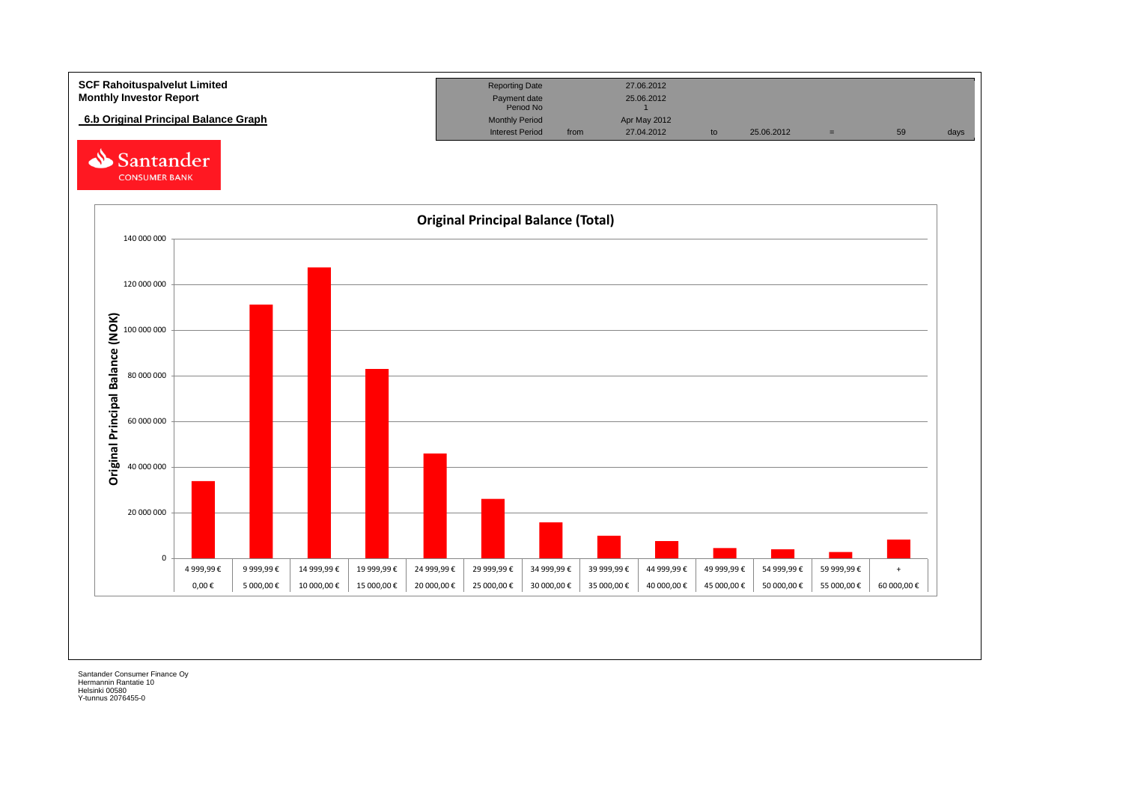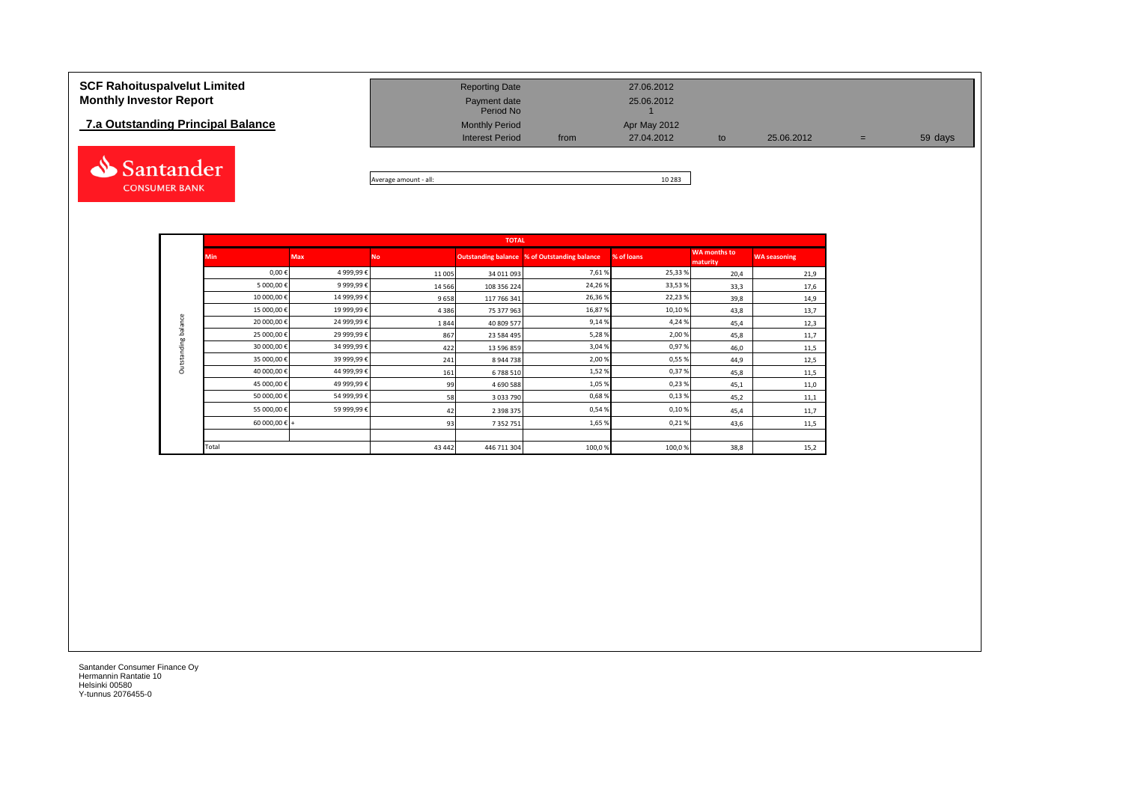# **7.5 SCF Rahoituspalvelut Limited<br>
Monthly Investor Report<br>
<u>7.a Outstanding Principal Balance</u>**



| <b>SCF Rahoituspalvelut Limited</b><br><b>Monthly Investor Report</b> | <b>Reporting Date</b><br>Payment date<br>Period No |      | 27.06.2012<br>25.06.2012 |    |            |     |         |
|-----------------------------------------------------------------------|----------------------------------------------------|------|--------------------------|----|------------|-----|---------|
| 7.a Outstanding Principal Balance                                     | <b>Monthly Period</b>                              |      | Apr May 2012             |    |            |     |         |
|                                                                       | <b>Interest Period</b>                             | from | 27.04.2012               | to | 25.06.2012 | $=$ | 59 days |
|                                                                       |                                                    |      |                          |    |            |     |         |

Average amount - all: 10 283

|                     |               |            |           | <b>TOTAL</b>  |                                                     |            |                                 |                     |
|---------------------|---------------|------------|-----------|---------------|-----------------------------------------------------|------------|---------------------------------|---------------------|
|                     | <b>Min</b>    | <b>Max</b> | <b>No</b> |               | <b>Outstanding balance % of Outstanding balance</b> | % of loans | <b>WA</b> months to<br>maturity | <b>WA seasoning</b> |
|                     | $0,00 \in$    | 4 999,99€  | 11 005    | 34 011 093    | 7,61%                                               | 25,33 %    | 20,4                            | 21,9                |
|                     | 5 000,00€     | 9 999,99€  | 14 5 66   | 108 356 224   | 24,26 %                                             | 33,53%     | 33,3                            | 17,6                |
|                     | 10 000,00€    | 14 999,99€ | 9658      | 117 766 341   | 26,36%                                              | 22,23%     | 39,8                            | 14,9                |
|                     | 15 000,00€    | 19 999,99€ | 4386      | 75 377 963    | 16,87%                                              | 10,10%     | 43,8                            | 13,7                |
| Outstanding balance | 20 000,00€    | 24 999,99€ | 1844      | 40 809 577    | 9,14%                                               | 4,24 %     | 45,4                            | 12,3                |
|                     | 25 000,00€    | 29 999,99€ | 867       | 23 584 495    | 5,28%                                               | 2,00%      | 45,8                            | 11,7                |
|                     | 30 000,00€    | 34 999,99€ | 422       | 13 596 859    | 3,04%                                               | 0,97%      | 46,0                            | 11,5                |
|                     | 35 000,00€    | 39 999,99€ | 241       | 8 944 738     | 2,00%                                               | 0,55%      | 44,9                            | 12,5                |
|                     | 40 000,00€    | 44 999,99€ | 161       | 6788510       | 1,52%                                               | 0,37%      | 45,8                            | 11,5                |
|                     | 45 000,00€    | 49 999,99€ | 99        | 4 690 588     | 1,05%                                               | 0,23%      | 45,1                            | 11,0                |
|                     | 50 000,00€    | 54 999,99€ | 58        | 3 0 3 7 7 9 0 | 0,68%                                               | 0,13%      | 45,2                            | 11,1                |
|                     | 55 000,00€    | 59 999,99€ | 42        | 2 3 9 8 3 7 5 | 0,54%                                               | 0,10%      | 45,4                            | 11,7                |
|                     | 60 000,00 € + |            | 93        | 7 3 5 2 7 5 1 | 1,65%                                               | 0,21%      | 43,6                            | 11,5                |
|                     |               |            |           |               |                                                     |            |                                 |                     |
|                     | Total         |            | 43 442    | 446 711 304   | 100,0%                                              | 100,0%     | 38,8                            | 15,2                |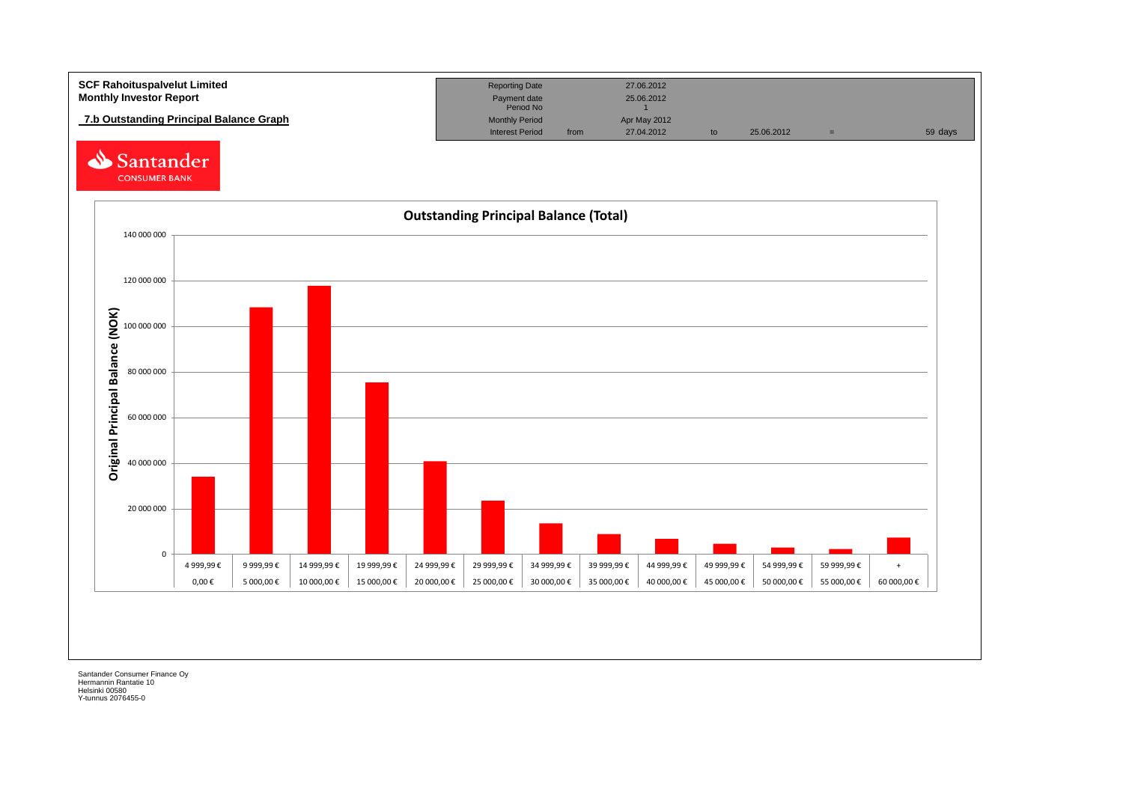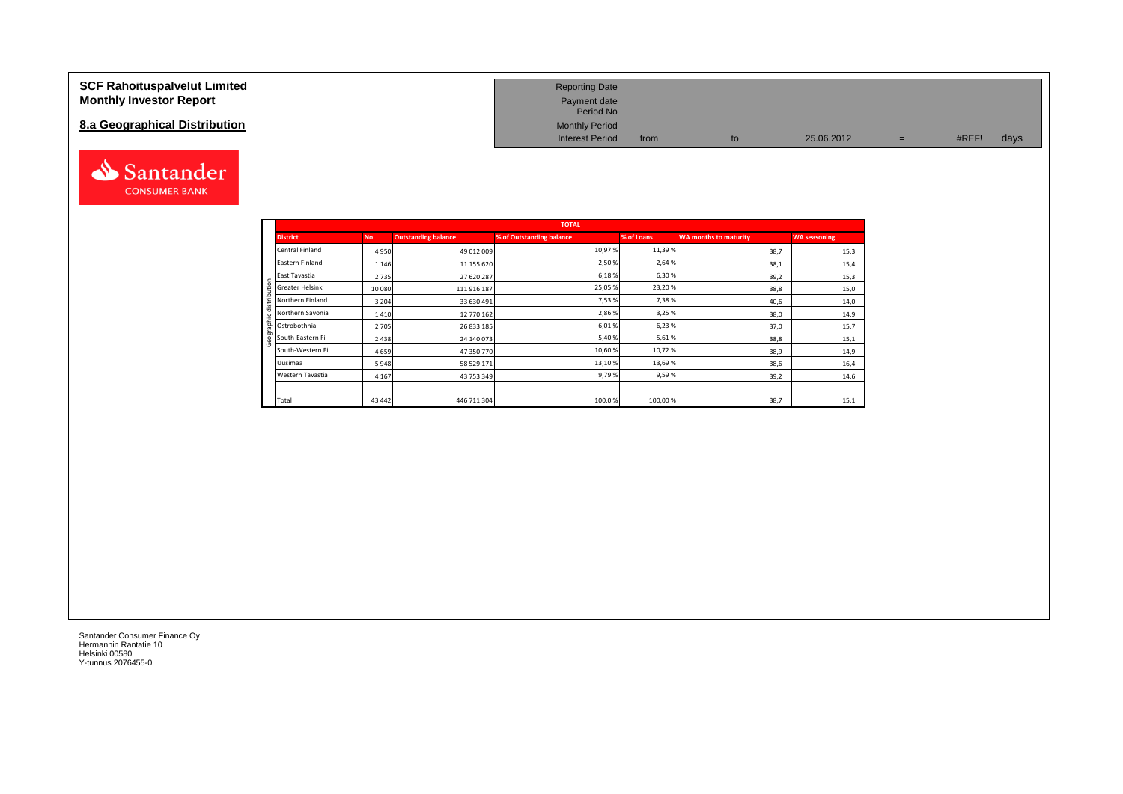| <b>SCF Rahoituspalvelut Limited</b> | <b>Reporting Date</b>     |      |            |     |       |      |
|-------------------------------------|---------------------------|------|------------|-----|-------|------|
| <b>Monthly Investor Report</b>      | Payment date<br>Period No |      |            |     |       |      |
| 8.a Geographical Distribution       | <b>Monthly Period</b>     |      |            |     |       |      |
|                                     | <b>Interest Period</b>    | from | 25.06.2012 | $=$ | #REF! | days |



|                  |         |                            | <b>TOTAL</b>             |            |                       |                     |
|------------------|---------|----------------------------|--------------------------|------------|-----------------------|---------------------|
| <b>District</b>  | No.     | <b>Outstanding balance</b> | % of Outstanding balance | % of Loans | WA months to maturity | <b>WA seasoning</b> |
| Central Finland  | 4950    | 49 012 009                 | 10,97%                   | 11,39%     | 38,7                  | 15,3                |
| Eastern Finland  | 1 1 4 6 | 11 155 620                 | 2,50%                    | 2,64 %     | 38,1                  | 15,4                |
| East Tavastia    | 2735    | 27 620 287                 | 6,18%                    | 6,30%      | 39,2                  | 15,3                |
| Greater Helsinki | 10 080  | 111 916 187                | 25,05%                   | 23,20%     | 38,8                  | 15,0                |
| Northern Finland | 3 2 0 4 | 33 630 491                 | 7,53%                    | 7,38%      | 40,6                  | 14,0                |
| Northern Savonia | 1410    | 12 770 162                 | 2,86%                    | 3,25 %     | 38,0                  | 14,9                |
| Ostrobothnia     | 2 7 0 5 | 26 833 185                 | 6,01%                    | 6,23%      | 37,0                  | 15,7                |
| South-Eastern Fi | 2 4 3 8 | 24 140 073                 | 5,40%                    | 5,61%      | 38,8                  | 15,1                |
| South-Western Fi | 4659    | 47 350 770                 | 10,60%                   | 10,72%     | 38,9                  | 14,9                |
| Uusimaa          | 5948    | 58 529 171                 | 13,10%                   | 13,69%     | 38,6                  | 16,4                |
| Western Tavastia | 4 1 6 7 | 43 753 349                 | 9,79%                    | 9,59%      | 39,2                  | 14,6                |
|                  |         |                            |                          |            |                       |                     |
| Total            | 43 442  | 446 711 304                | 100,0%                   | 100,00%    | 38,7                  | 15,1                |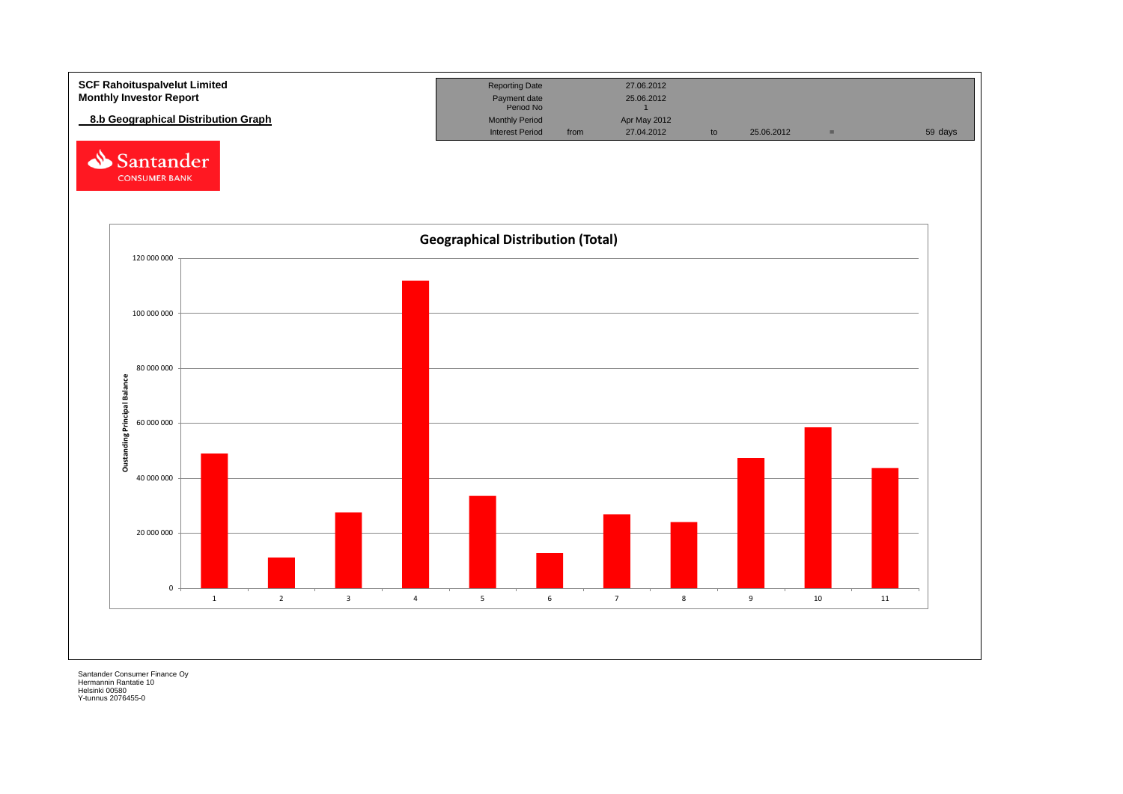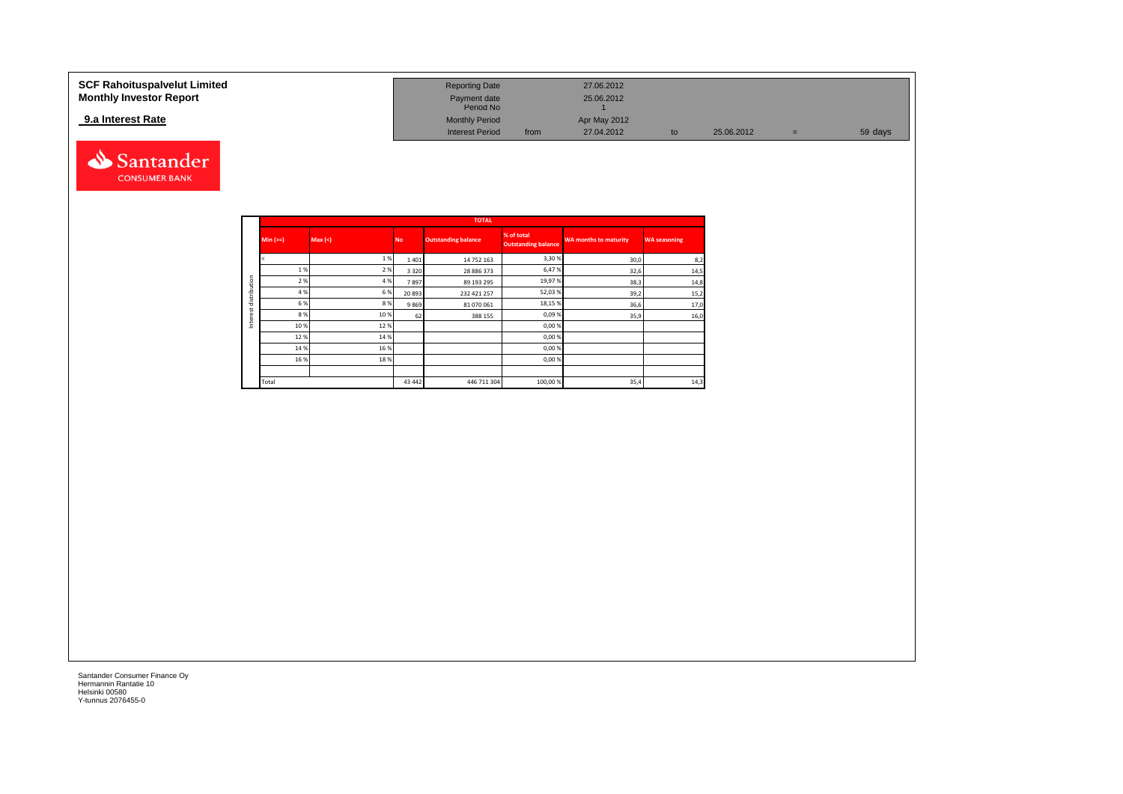#### **9.a Interest Rate**



| <b>SCF Rahoituspalvelut Limited</b> | <b>Reporting Date</b>     |      | 27.06.2012   |            |     |         |
|-------------------------------------|---------------------------|------|--------------|------------|-----|---------|
| <b>Monthly Investor Report</b>      | Payment date<br>Period No |      | 25.06.2012   |            |     |         |
| 9.a Interest Rate                   | <b>Monthly Period</b>     |      | Apr May 2012 |            |     |         |
|                                     | <b>Interest Period</b>    | from | 27.04.2012   | 25.06.2012 | $=$ | 59 days |

|              |            |         |           | <b>TOTAL</b>               |                                          |                              |                     |
|--------------|------------|---------|-----------|----------------------------|------------------------------------------|------------------------------|---------------------|
|              | $Min (==)$ | Max (<) | <b>No</b> | <b>Outstanding balance</b> | % of total<br><b>Outstanding balance</b> | <b>WA months to maturity</b> | <b>WA seasoning</b> |
|              |            | 1%      | 1401      | 14 752 163                 | 3,30%                                    | 30,0                         | 8,2                 |
|              | 1%         | 2%      | 3 3 2 0   | 28 886 373                 | 6,47%                                    | 32,6                         | 14,5                |
| distribution | 2 %        | 4 %     | 7897      | 89 193 295                 | 19,97%                                   | 38,3                         | 14,8                |
|              | 4 %        | 6%      | 20 893    | 232 421 257                | 52,03%                                   | 39,2                         | 15,2                |
|              | 6 %        | 8%      | 9869      | 81 070 061                 | 18,15%                                   | 36,6                         | 17,0                |
|              | 8%         | 10 %    | 62        | 388 155                    | 0,09%                                    | 35,9                         | 16,0                |
|              | 10%        | 12%     |           |                            | 0,00%                                    |                              |                     |
|              | 12%        | 14 %    |           |                            | 0,00%                                    |                              |                     |
|              | 14 %       | 16 %    |           |                            | 0,00%                                    |                              |                     |
|              | 16%        | 18%     |           |                            | 0,00%                                    |                              |                     |
|              |            |         |           |                            |                                          |                              |                     |
|              | Total      |         | 43 442    | 446 711 304                | 100,00 %                                 | 35,4                         | 14,3                |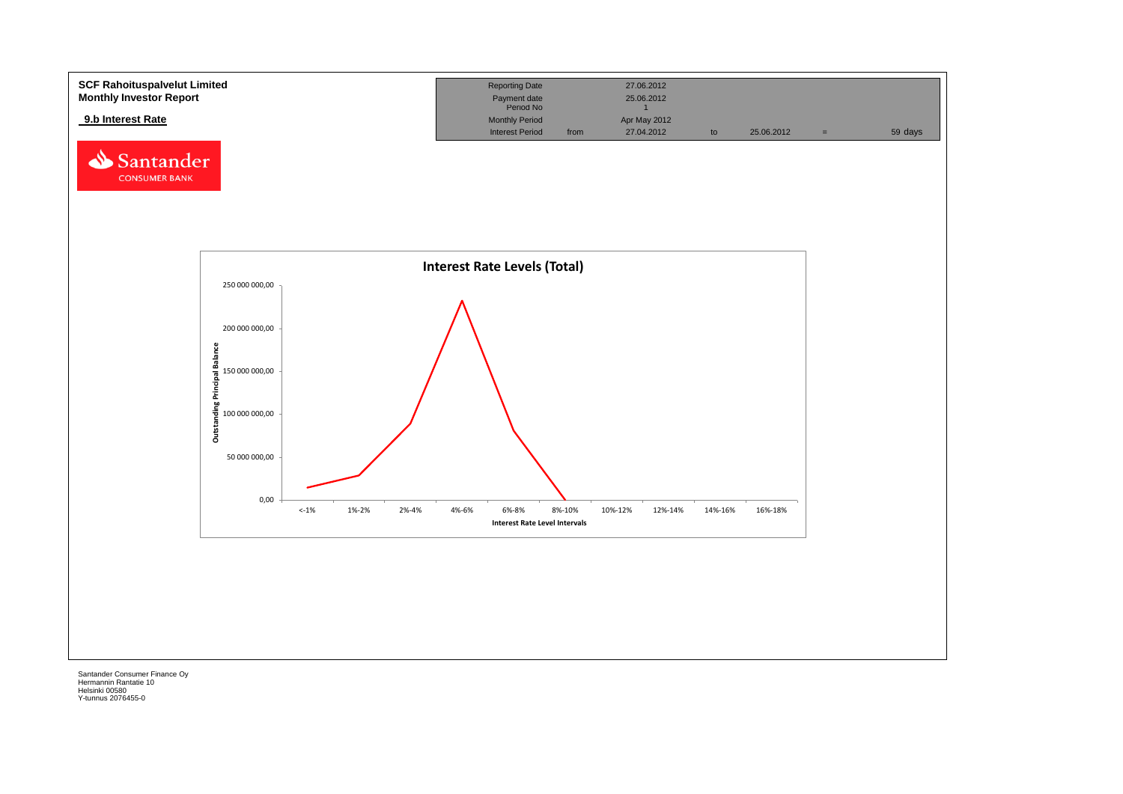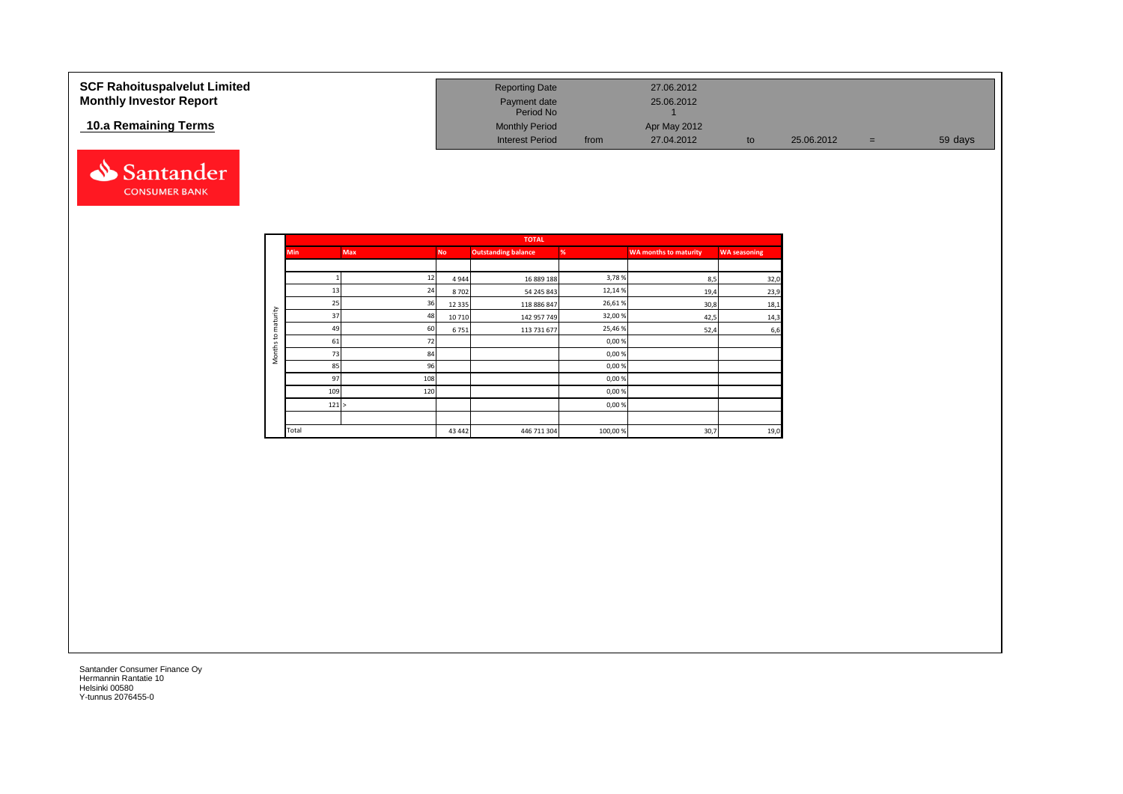| <b>SCF Rahoituspalvelut Limited</b> | <b>Reporting Date</b>     |      | 27.06.2012   |    |            |     |         |
|-------------------------------------|---------------------------|------|--------------|----|------------|-----|---------|
| <b>Monthly Investor Report</b>      | Payment date<br>Period No |      | 25.06.2012   |    |            |     |         |
| 10.a Remaining Terms                | <b>Monthly Period</b>     |      | Apr May 2012 |    |            |     |         |
|                                     | <b>Interest Period</b>    | from | 27.04.2012   | to | 25.06.2012 | $=$ | 59 days |



|                     |            |            |           | <b>TOTAL</b>               |         |                              |                     |
|---------------------|------------|------------|-----------|----------------------------|---------|------------------------------|---------------------|
|                     | <b>Min</b> | <b>Max</b> | <b>No</b> | <b>Outstanding balance</b> | %       | <b>WA months to maturity</b> | <b>WA seasoning</b> |
|                     |            |            |           |                            |         |                              |                     |
|                     |            | 12         | 4944      | 16 889 188                 | 3,78%   | 8,5                          | 32,0                |
|                     | 13         | 24         | 8702      | 54 245 843                 | 12,14%  | 19,4                         | 23,9                |
|                     | 25         | 36         | 12 3 3 5  | 118 886 847                | 26,61%  | 30,8                         | 18,1                |
| maturity            | 37         | 48         | 10710     | 142 957 749                | 32,00%  | 42,5                         | 14,3                |
|                     | 49         | 60         | 6751      | 113 731 677                | 25,46%  | 52,4                         | 6,6                 |
| 5                   | 61         | 72         |           |                            | 0,00%   |                              |                     |
| Months <sup>-</sup> | 73         | 84         |           |                            | 0,00%   |                              |                     |
|                     | 85         | 96         |           |                            | 0,00%   |                              |                     |
|                     | 97         | 108        |           |                            | 0,00%   |                              |                     |
|                     | 109        | 120        |           |                            | 0,00%   |                              |                     |
|                     | 121 >      |            |           |                            | 0,00%   |                              |                     |
|                     |            |            |           |                            |         |                              |                     |
|                     | Total      |            | 43 4 42   | 446 711 304                | 100,00% | 30,7                         | 19,0                |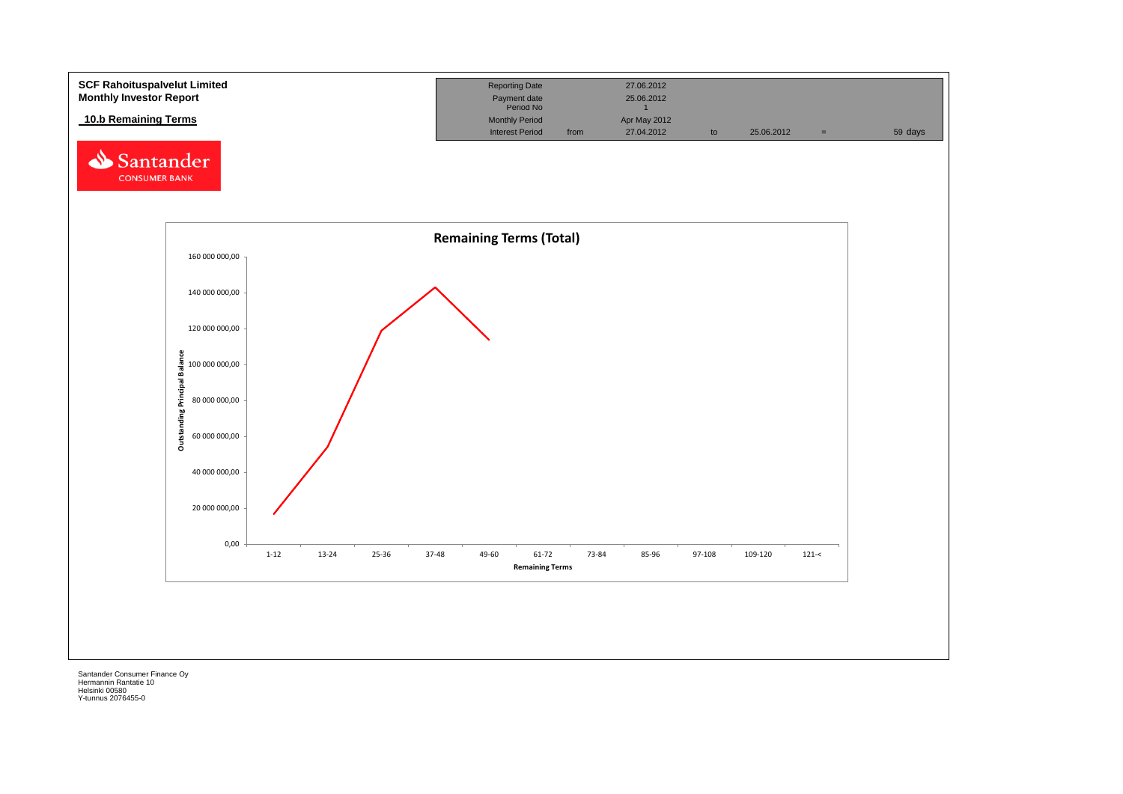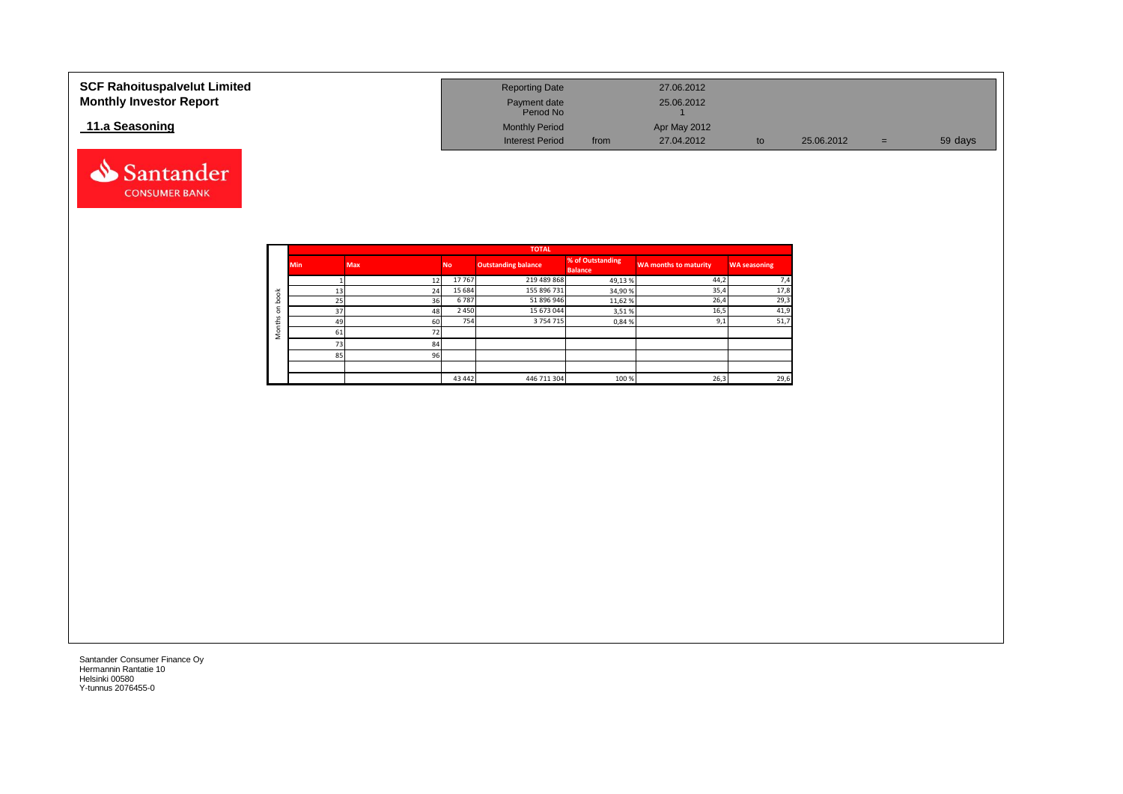| <b>SCF Rahoituspalvelut Limited</b><br><b>Monthly Investor Report</b> | <b>Reporting Date</b><br>Payment date<br>Period No |      | 27.06.2012<br>25.06.2012 |    |            |     |         |
|-----------------------------------------------------------------------|----------------------------------------------------|------|--------------------------|----|------------|-----|---------|
| 11.a Seasoning                                                        | <b>Monthly Period</b>                              |      | Apr May 2012             |    |            |     |         |
|                                                                       | <b>Interest Period</b>                             | from | 27.04.2012               | to | 25.06.2012 | $=$ | 59 days |



Santander **CONSUMER BANK**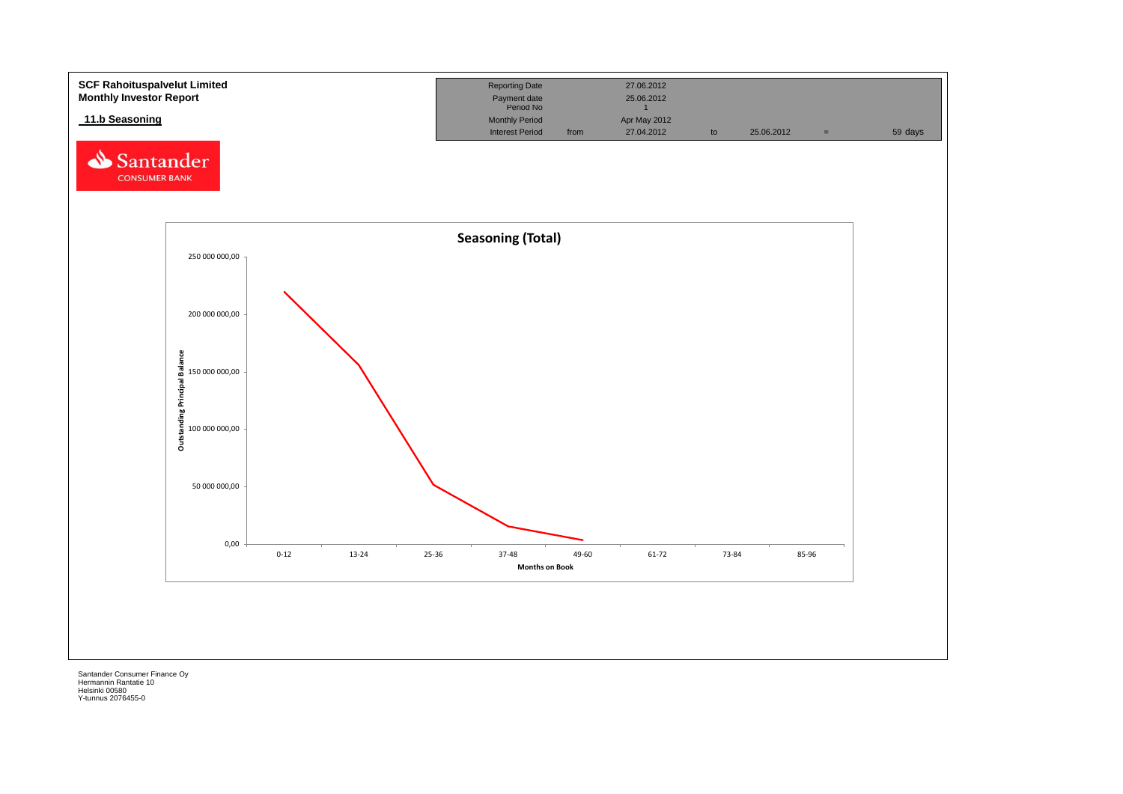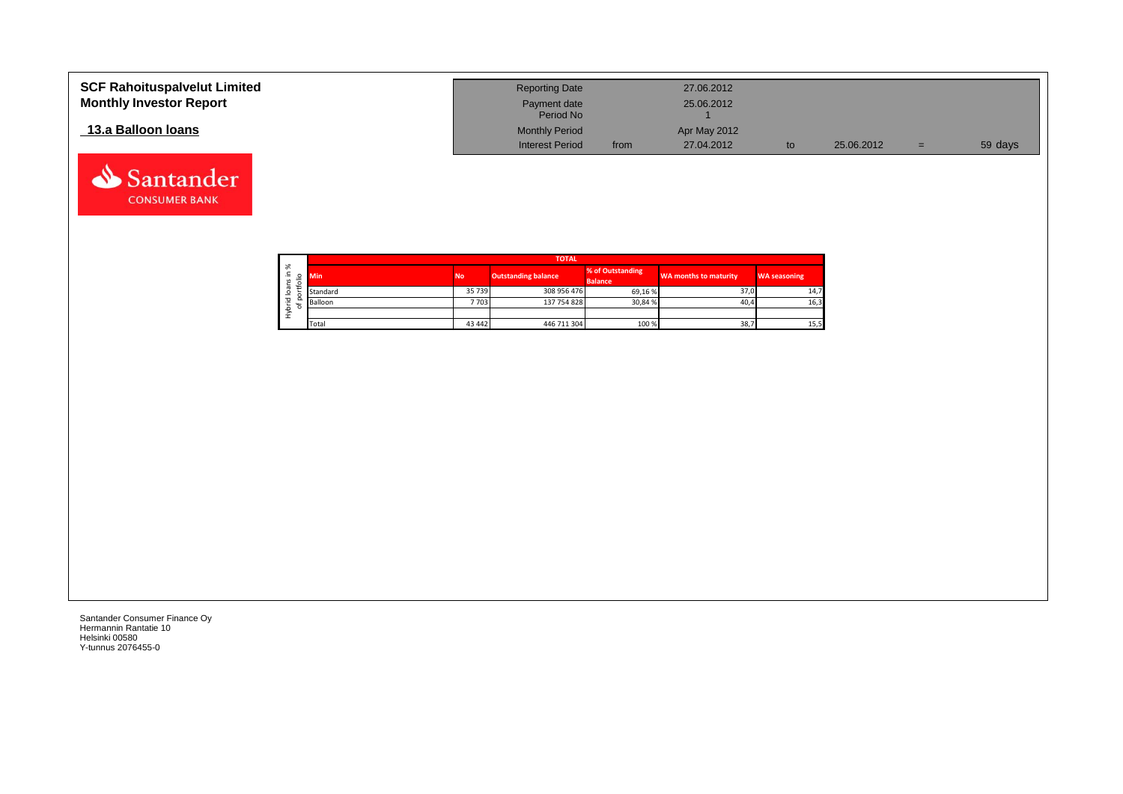| <b>SCF Rahoituspalvelut Limited</b><br><b>Monthly Investor Report</b> | <b>Reporting Date</b><br>Payment date<br>Period No |      | 27.06.2012<br>25.06.2012 |            |     |         |
|-----------------------------------------------------------------------|----------------------------------------------------|------|--------------------------|------------|-----|---------|
| 13.a Balloon Ioans                                                    | <b>Monthly Period</b>                              |      | Apr May 2012             |            |     |         |
|                                                                       | <b>Interest Period</b>                             | from | 27.04.2012               | 25.06.2012 | $=$ | 59 days |

┑

|                   |    |            | <b>TOTAL</b> |                            |                                    |                       |                     |  |  |  |  |  |  |  |
|-------------------|----|------------|--------------|----------------------------|------------------------------------|-----------------------|---------------------|--|--|--|--|--|--|--|
| ৯<br>∸.<br>Ñ<br>∽ | ⊴. | <b>Min</b> | <b>No</b>    | <b>Outstanding balance</b> | % of Outstanding<br><b>Balance</b> | WA months to maturity | <b>WA seasoning</b> |  |  |  |  |  |  |  |
| <b>Bo</b>         |    | Standard   | 35 739       | 308 956 476                | 69,16 %                            | 37,0                  | 14,7                |  |  |  |  |  |  |  |
| 꼳                 |    | Balloon    | 7703         | 137 754 828                | 30,84 %                            | 40,4                  | 16,3                |  |  |  |  |  |  |  |
| ء<br>ł            |    |            |              |                            |                                    |                       |                     |  |  |  |  |  |  |  |
|                   |    | Total      | 43 442       | 446 711 304                | 100 %                              | 38,7                  | 15,5                |  |  |  |  |  |  |  |

Santander Consumer Finance Oy Hermannin Rantatie 10 Helsinki 00580 Y-tunnus 2076455-0

Santander **CONSUMER BANK**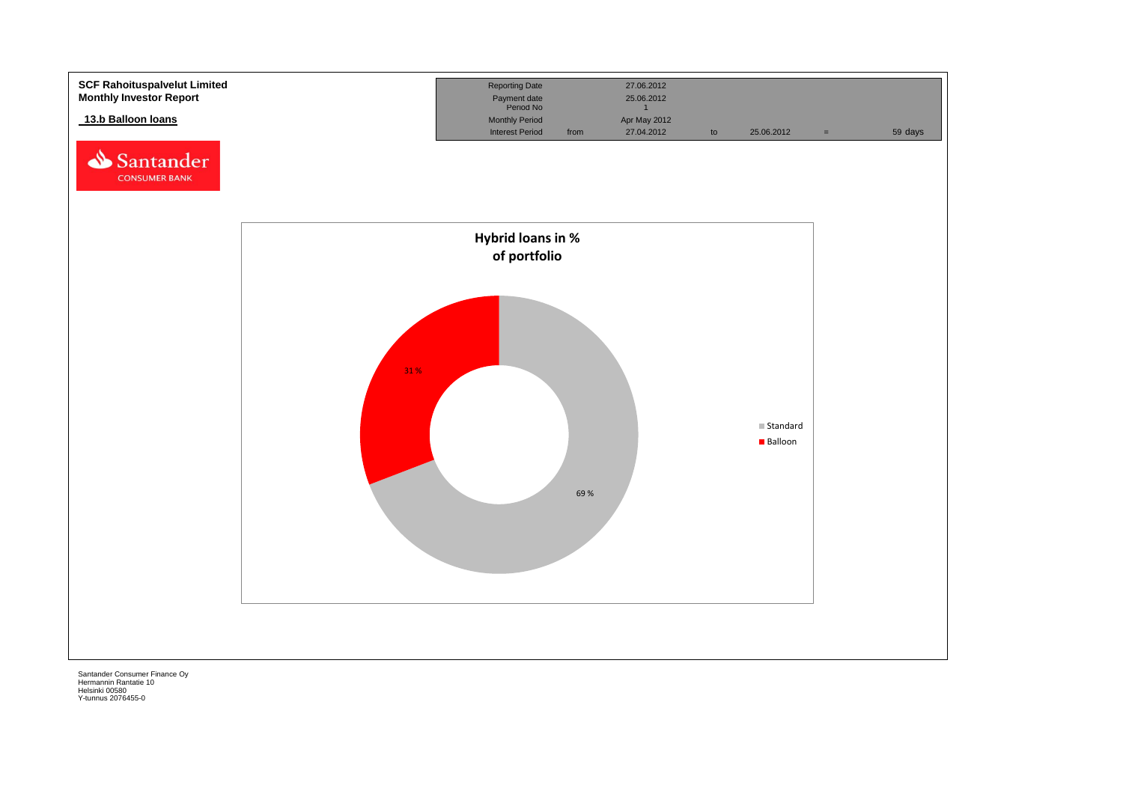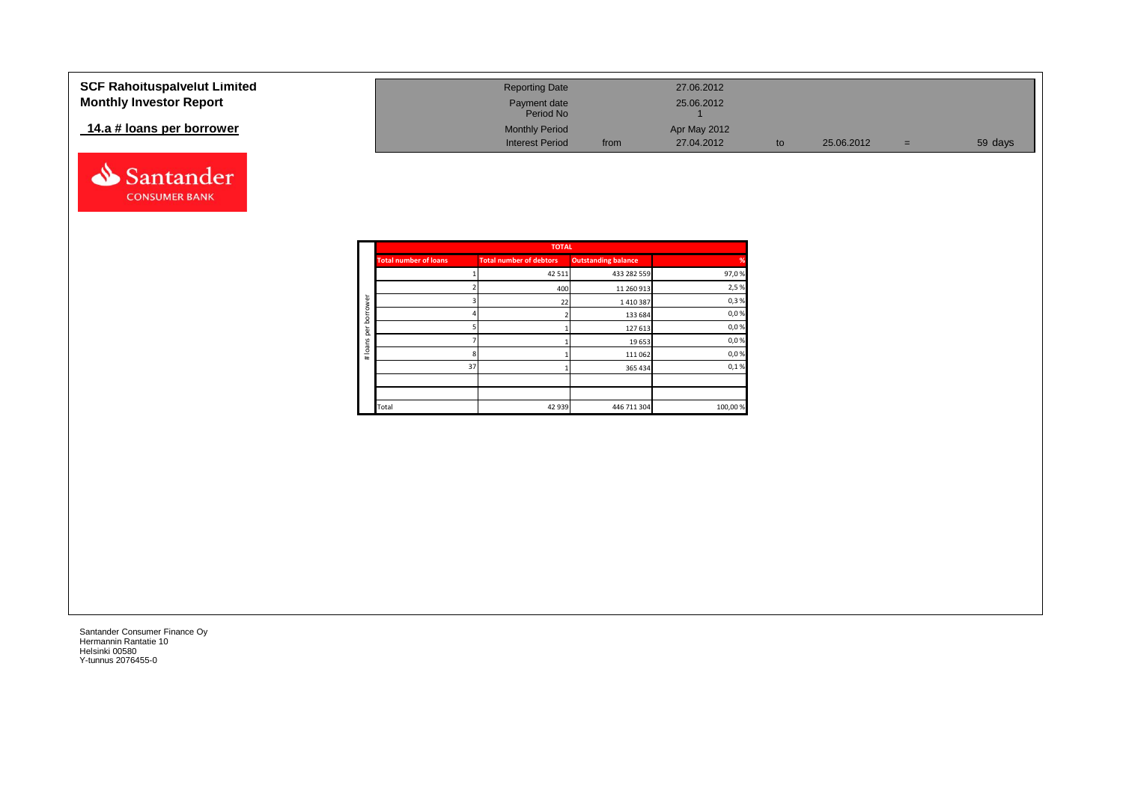#### **SCF Rahoituspalvelut Limited Monthly Investor Report**

## **14.a # loans per borrower**



| <b>Reporting Date</b>     |      | 27.06.2012   |    |            |     |         |
|---------------------------|------|--------------|----|------------|-----|---------|
| Payment date<br>Period No |      | 25.06.2012   |    |            |     |         |
| <b>Monthly Period</b>     |      | Apr May 2012 |    |            |     |         |
| <b>Interest Period</b>    | from | 27.04.2012   | to | 25.06.2012 | $=$ | 59 days |

|        |                              | <b>TOTAL</b>                   |                            |         |
|--------|------------------------------|--------------------------------|----------------------------|---------|
|        | <b>Total number of loans</b> | <b>Total number of debtors</b> | <b>Outstanding balance</b> | %       |
|        |                              | 42 5 11                        | 433 282 559                | 97,0%   |
|        |                              | 400                            | 11 260 913                 | 2,5%    |
| rower  |                              | 22                             | 1410387                    | 0,3%    |
| bori   |                              |                                | 133 684                    | 0,0%    |
| ğ      |                              |                                | 127 613                    | 0,0%    |
| loans  |                              |                                | 19 653                     | 0,0%    |
| $\ast$ |                              |                                | 111 062                    | 0,0%    |
|        | 37                           |                                | 365 434                    | 0,1%    |
|        |                              |                                |                            |         |
|        |                              |                                |                            |         |
|        | Total                        | 42 939                         | 446 711 304                | 100,00% |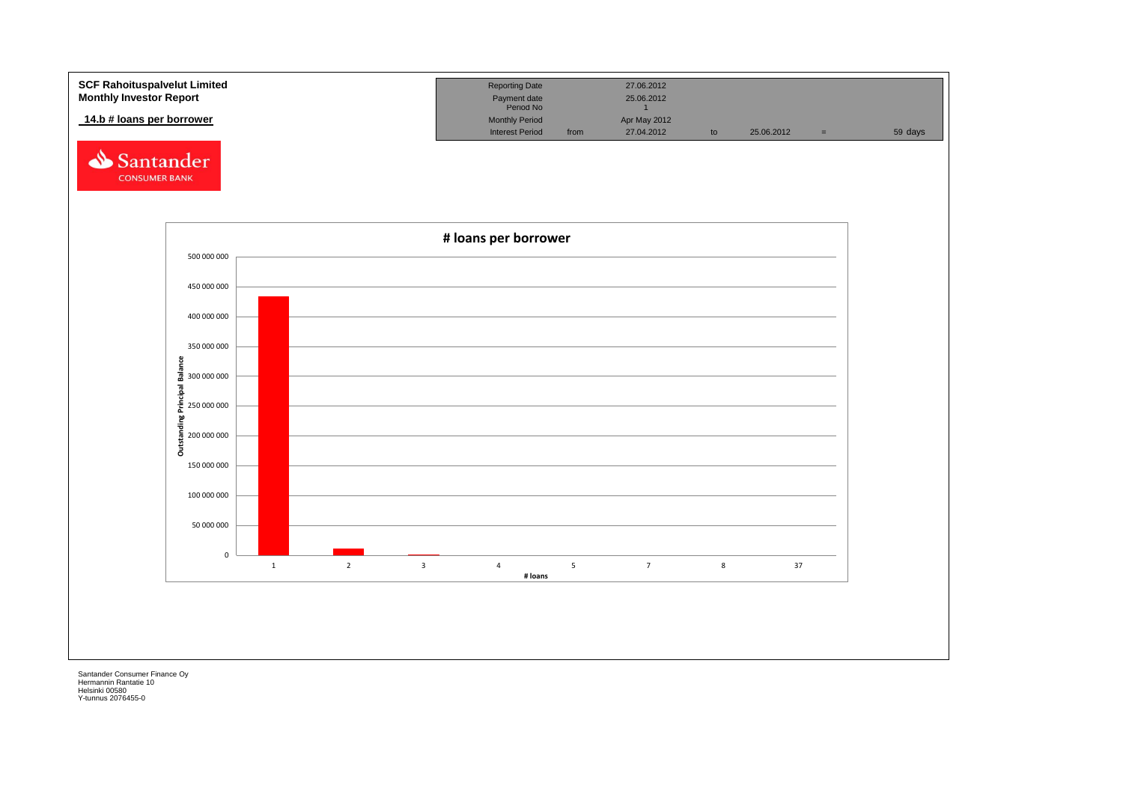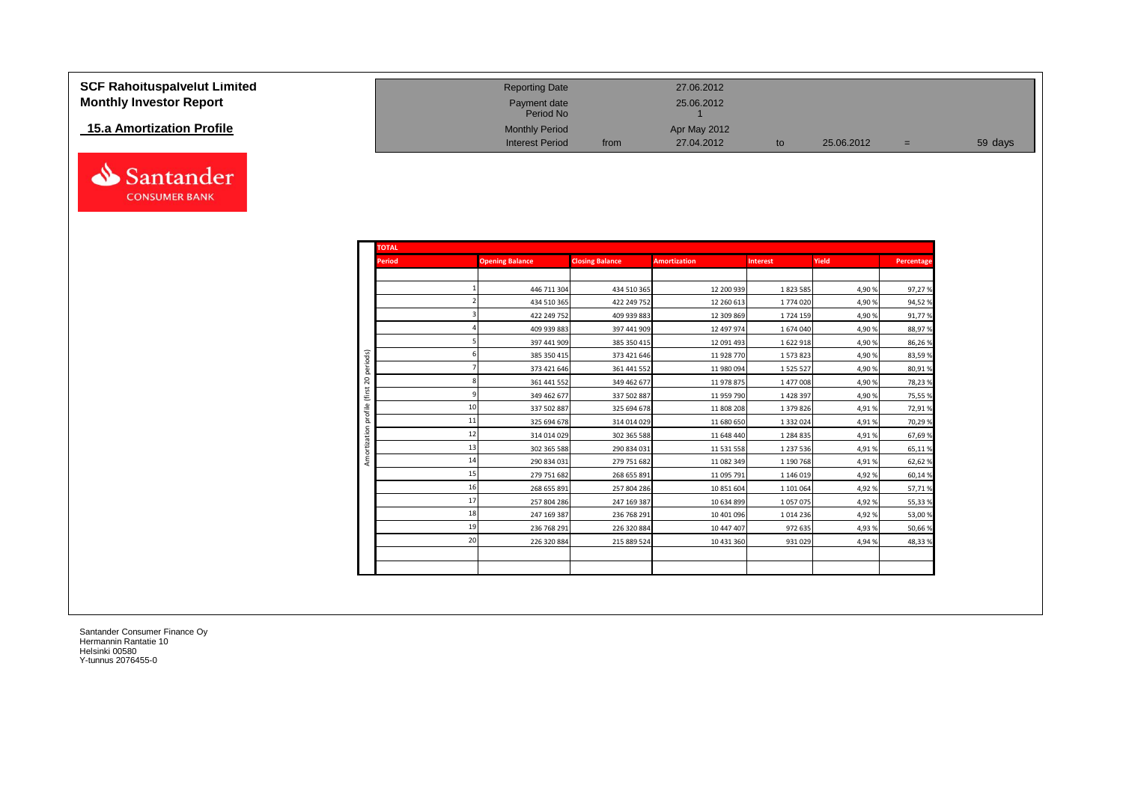| <b>SCF Rahoituspalvelut Limited</b> |
|-------------------------------------|
| <b>Monthly Investor Report</b>      |

## **15.a Amortization Profile**



| <b>SCF Rahoituspalvelut Limited</b> | <b>Reporting Date</b>     |      | 27.06.2012   |            |     |         |
|-------------------------------------|---------------------------|------|--------------|------------|-----|---------|
| <b>Monthly Investor Report</b>      | Payment date<br>Period No |      | 25.06.2012   |            |     |         |
| 15.a Amortization Profile           | <b>Monthly Period</b>     |      | Apr May 2012 |            |     |         |
|                                     | <b>Interest Period</b>    | from | 27.04.2012   | 25.06.2012 | $=$ | 59 days |

| <b>TOTAL</b>  |    |                        |                        |                     |                 |        |            |
|---------------|----|------------------------|------------------------|---------------------|-----------------|--------|------------|
| <b>Period</b> |    | <b>Opening Balance</b> | <b>Closing Balance</b> | <b>Amortization</b> | <b>Interest</b> | Yield  | Percentage |
|               |    |                        |                        |                     |                 |        |            |
|               |    | 446 711 304            | 434 510 365            | 12 200 939          | 1823 585        | 4,90%  | 97,27%     |
|               |    | 434 510 365            | 422 249 752            | 12 260 613          | 1774 020        | 4,90%  | 94,52%     |
|               |    | 422 249 752            | 409 939 883            | 12 309 869          | 1724 159        | 4,90%  | 91,77%     |
|               |    | 409 939 883            | 397 441 909            | 12 497 974          | 1674040         | 4,90%  | 88,97%     |
|               |    | 397 441 909            | 385 350 415            | 12 091 493          | 1622918         | 4,90%  | 86,26%     |
| periods)      |    | 385 350 415            | 373 421 646            | 11 928 770          | 1573823         | 4,90%  | 83,59%     |
|               |    | 373 421 646            | 361 441 552            | 11 980 094          | 1 5 2 5 5 2 7   | 4,90%  | 80,91%     |
| 20<br>(first  |    | 361 441 552            | 349 462 677            | 11978875            | 1 477 008       | 4,90%  | 78,23%     |
|               |    | 349 462 677            | 337 502 887            | 11 959 790          | 1 4 28 3 97     | 4,90%  | 75,55%     |
| profile       | 10 | 337 502 887            | 325 694 678            | 11 808 208          | 1 379 826       | 4,91%  | 72,91%     |
|               | 11 | 325 694 678            | 314 014 029            | 11 680 650          | 1 3 3 2 0 2 4   | 4,91%  | 70,29%     |
|               | 12 | 314 014 029            | 302 365 588            | 11 648 440          | 1 284 835       | 4,91%  | 67,69%     |
| Amortization  | 13 | 302 365 588            | 290 834 031            | 11 531 558          | 1 237 536       | 4,91%  | 65,11%     |
|               | 14 | 290 834 031            | 279 751 682            | 11 082 349          | 1 190 768       | 4,91%  | 62,62%     |
|               | 15 | 279 751 682            | 268 655 891            | 11 095 791          | 1 146 019       | 4,92%  | 60,14%     |
|               | 16 | 268 655 891            | 257 804 286            | 10 851 604          | 1 101 064       | 4,92%  | 57,71%     |
|               | 17 | 257 804 286            | 247 169 387            | 10 634 899          | 1057075         | 4,92%  | 55,33%     |
|               | 18 | 247 169 387            | 236 768 291            | 10 401 096          | 1014236         | 4,92%  | 53,00%     |
|               | 19 | 236 768 291            | 226 320 884            | 10 447 407          | 972 635         | 4,93%  | 50,66%     |
|               | 20 | 226 320 884            | 215 889 524            | 10 431 360          | 931 029         | 4,94 % | 48,33%     |
|               |    |                        |                        |                     |                 |        |            |
|               |    |                        |                        |                     |                 |        |            |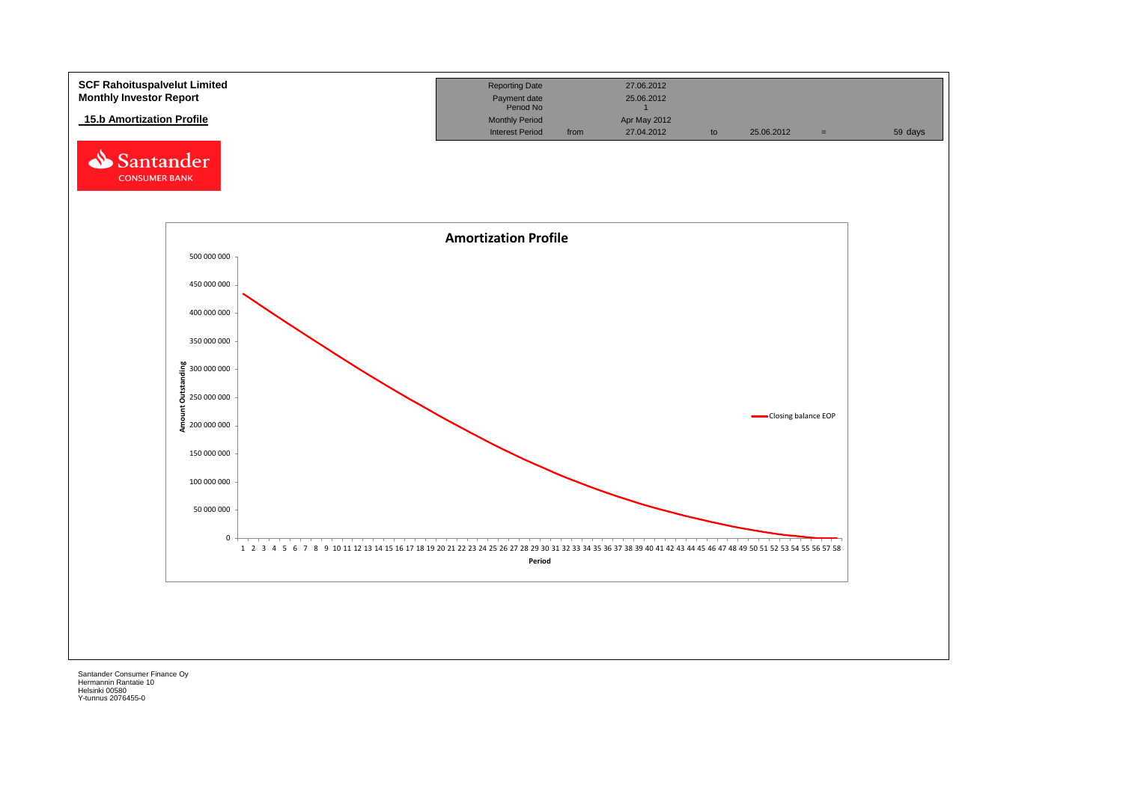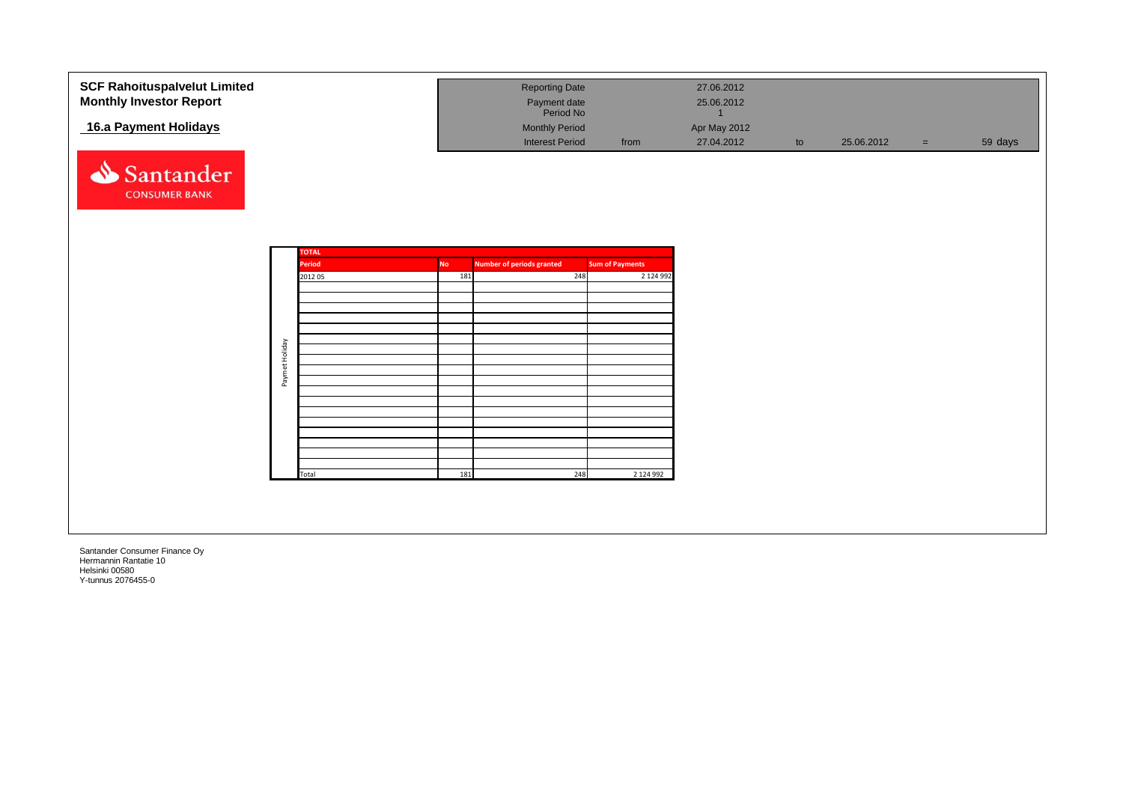| <b>SCF Rahoituspalvelut Limited</b> |                |               |           | <b>Reporting Date</b>            |                        | 27.06.2012                 |    |            |     |         |
|-------------------------------------|----------------|---------------|-----------|----------------------------------|------------------------|----------------------------|----|------------|-----|---------|
| <b>Monthly Investor Report</b>      |                |               |           | Payment date<br>Period No        |                        | 25.06.2012<br>$\mathbf{1}$ |    |            |     |         |
| 16.a Payment Holidays               |                |               |           | <b>Monthly Period</b>            |                        | Apr May 2012               |    |            |     |         |
|                                     |                |               |           | <b>Interest Period</b>           | from                   | 27.04.2012                 | to | 25.06.2012 | $=$ | 59 days |
| Santander                           |                |               |           |                                  |                        |                            |    |            |     |         |
| <b>CONSUMER BANK</b>                |                |               |           |                                  |                        |                            |    |            |     |         |
|                                     |                |               |           |                                  |                        |                            |    |            |     |         |
|                                     |                | <b>TOTAL</b>  |           |                                  |                        |                            |    |            |     |         |
|                                     |                | <b>Period</b> | <b>No</b> | <b>Number of periods granted</b> | <b>Sum of Payments</b> |                            |    |            |     |         |
|                                     |                | 2012 05       | 181       | 248                              | 2 124 992              |                            |    |            |     |         |
|                                     |                |               |           |                                  |                        |                            |    |            |     |         |
|                                     |                |               |           |                                  |                        |                            |    |            |     |         |
|                                     |                |               |           |                                  |                        |                            |    |            |     |         |
|                                     |                |               |           |                                  |                        |                            |    |            |     |         |
|                                     | Paymet Holiday |               |           |                                  |                        |                            |    |            |     |         |
|                                     |                |               |           |                                  |                        |                            |    |            |     |         |
|                                     |                |               |           |                                  |                        |                            |    |            |     |         |
|                                     |                |               |           |                                  |                        |                            |    |            |     |         |
|                                     |                |               |           |                                  |                        |                            |    |            |     |         |
|                                     |                |               |           |                                  |                        |                            |    |            |     |         |
|                                     |                |               |           |                                  |                        |                            |    |            |     |         |
|                                     |                | Total         | 181       | 248                              | 2 124 992              |                            |    |            |     |         |
|                                     |                |               |           |                                  |                        |                            |    |            |     |         |
|                                     |                |               |           |                                  |                        |                            |    |            |     |         |
|                                     |                |               |           |                                  |                        |                            |    |            |     |         |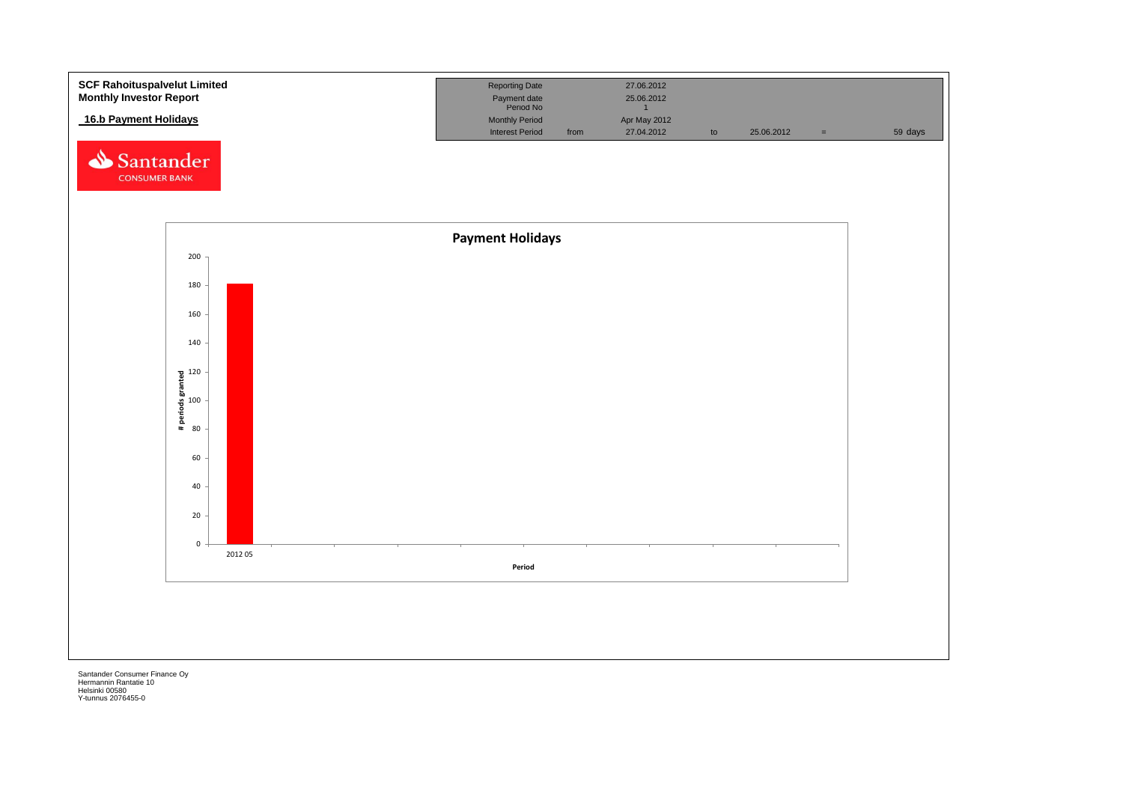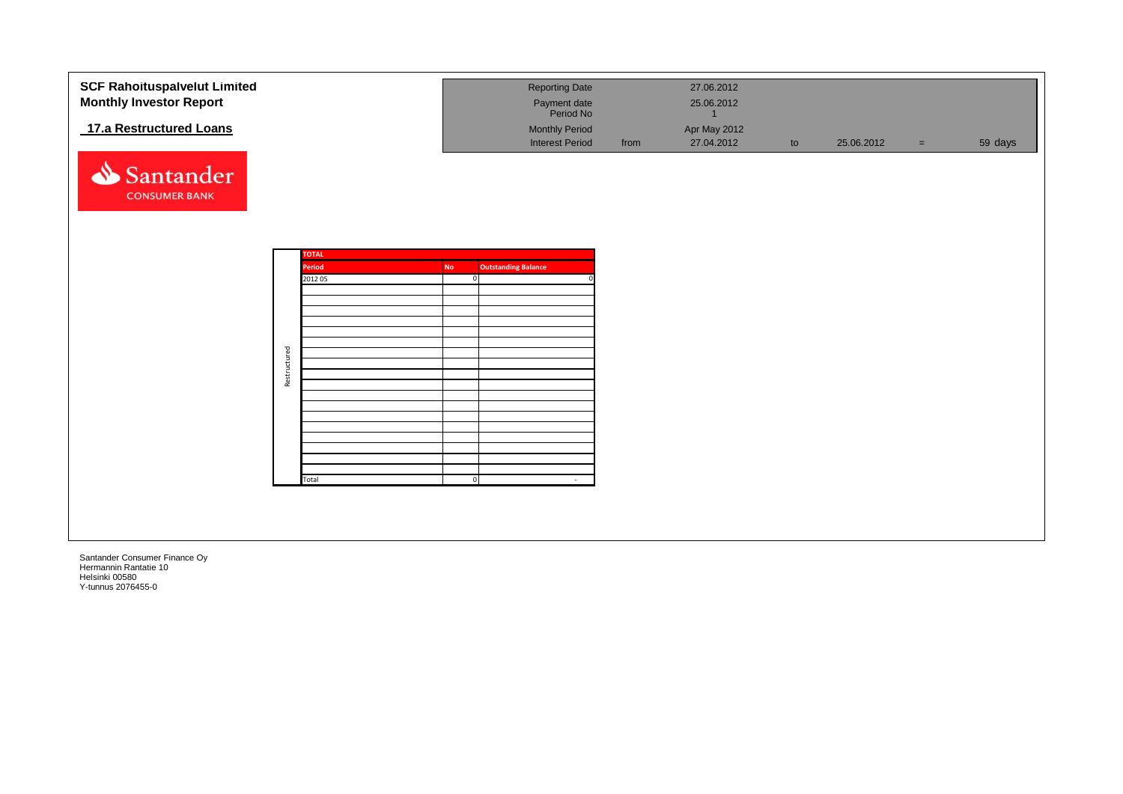| <b>SCF Rahoituspalvelut Limited</b><br><b>Monthly Investor Report</b> |              |              |                | <b>Reporting Date</b><br>Payment date<br>Period No |      | 27.06.2012<br>25.06.2012   |    |            |     |         |
|-----------------------------------------------------------------------|--------------|--------------|----------------|----------------------------------------------------|------|----------------------------|----|------------|-----|---------|
| 17.a Restructured Loans                                               |              |              |                | <b>Monthly Period</b><br><b>Interest Period</b>    | from | Apr May 2012<br>27.04.2012 | to | 25.06.2012 | $=$ | 59 days |
| Santander<br><b>CONSUMER BANK</b>                                     |              |              |                |                                                    |      |                            |    |            |     |         |
|                                                                       |              | <b>TOTAL</b> |                |                                                    |      |                            |    |            |     |         |
|                                                                       |              | Period       | <b>No</b>      | <b>Outstanding Balance</b>                         |      |                            |    |            |     |         |
|                                                                       |              | 2012 05      | $\Omega$       |                                                    |      |                            |    |            |     |         |
|                                                                       |              |              |                |                                                    |      |                            |    |            |     |         |
|                                                                       |              |              |                |                                                    |      |                            |    |            |     |         |
|                                                                       |              |              |                |                                                    |      |                            |    |            |     |         |
|                                                                       |              |              |                |                                                    |      |                            |    |            |     |         |
|                                                                       |              |              |                |                                                    |      |                            |    |            |     |         |
|                                                                       | Restructured |              |                |                                                    |      |                            |    |            |     |         |
|                                                                       |              |              |                |                                                    |      |                            |    |            |     |         |
|                                                                       |              |              |                |                                                    |      |                            |    |            |     |         |
|                                                                       |              |              |                |                                                    |      |                            |    |            |     |         |
|                                                                       |              |              |                |                                                    |      |                            |    |            |     |         |
|                                                                       |              |              |                |                                                    |      |                            |    |            |     |         |
|                                                                       |              |              |                |                                                    |      |                            |    |            |     |         |
|                                                                       |              |              |                |                                                    |      |                            |    |            |     |         |
|                                                                       |              | Total        | $\overline{0}$ | $\sim$                                             |      |                            |    |            |     |         |
|                                                                       |              |              |                |                                                    |      |                            |    |            |     |         |
|                                                                       |              |              |                |                                                    |      |                            |    |            |     |         |
|                                                                       |              |              |                |                                                    |      |                            |    |            |     |         |
|                                                                       |              |              |                |                                                    |      |                            |    |            |     |         |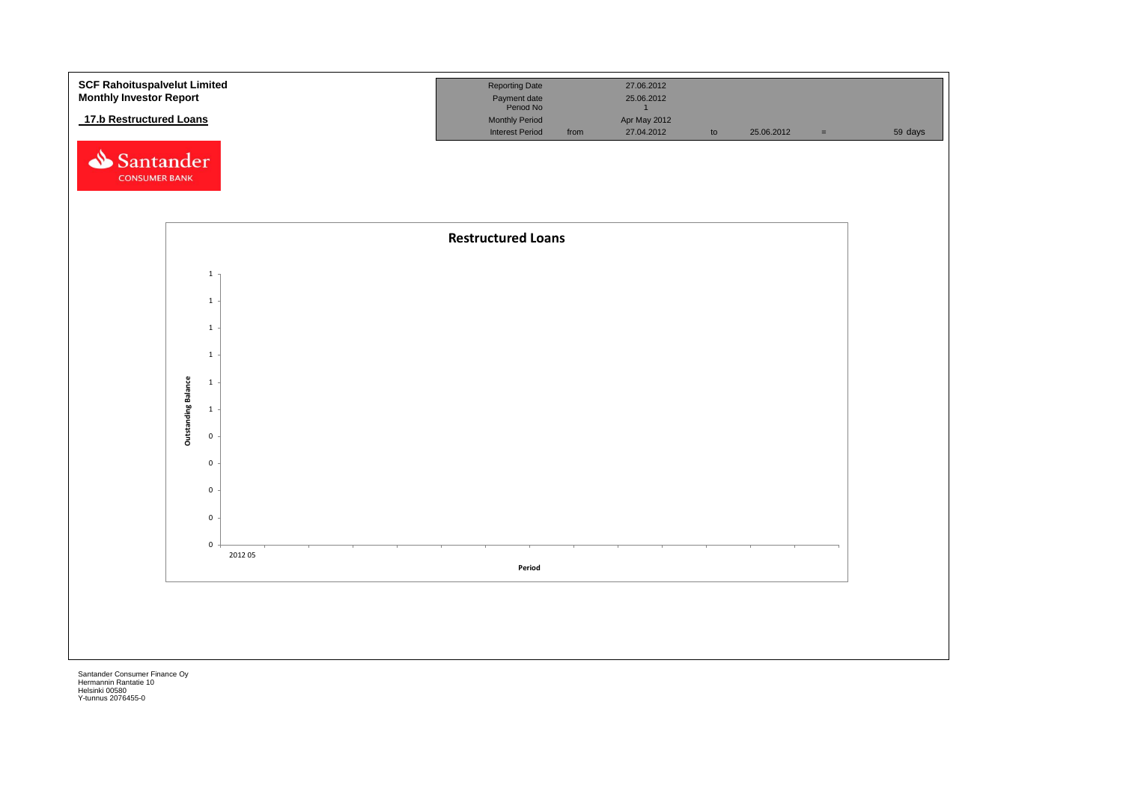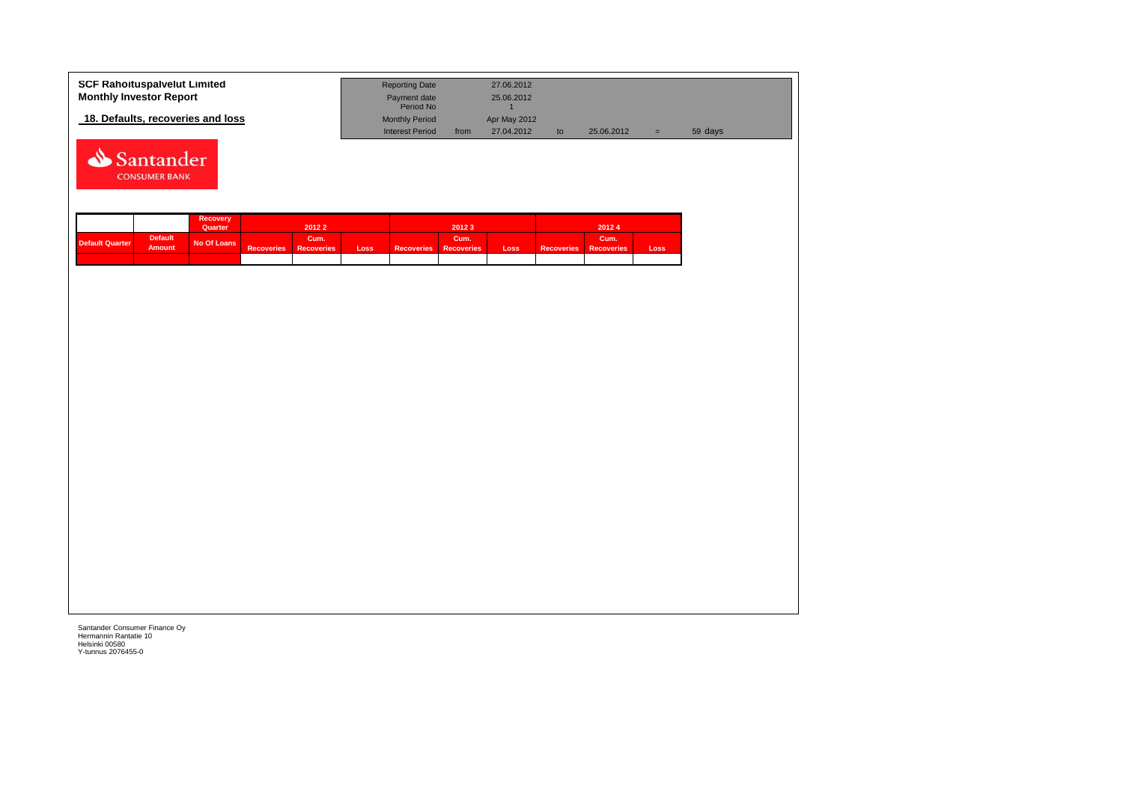| <b>SCF Rahoituspalvelut Limited</b> | <b>Reporting Date</b>     |      | 27.06.2012   |    |            |     |         |
|-------------------------------------|---------------------------|------|--------------|----|------------|-----|---------|
| <b>Monthly Investor Report</b>      | Payment date<br>Period No |      | 25.06.2012   |    |            |     |         |
| 18. Defaults, recoveries and loss   | <b>Monthly Period</b>     |      | Apr May 2012 |    |            |     |         |
|                                     | <b>Interest Period</b>    | from | 27.04.2012   | to | 25.06.2012 | $=$ | 59 days |



|                        |                                 | Recovery<br>Quarter |                   | 20122                     |             |                              | 20123 |      |                              | 20124 |      |
|------------------------|---------------------------------|---------------------|-------------------|---------------------------|-------------|------------------------------|-------|------|------------------------------|-------|------|
| <b>Default Quarter</b> | <b>Default</b><br><b>Amount</b> | No Of Loans         | <b>Recoveries</b> | Cum.<br><b>Recoveries</b> | <b>Loss</b> | <b>Recoveries Recoveries</b> | Cum.' | Loss | <b>Recoveries Recoveries</b> | Cum.' | Loss |
|                        |                                 |                     |                   |                           |             |                              |       |      |                              |       |      |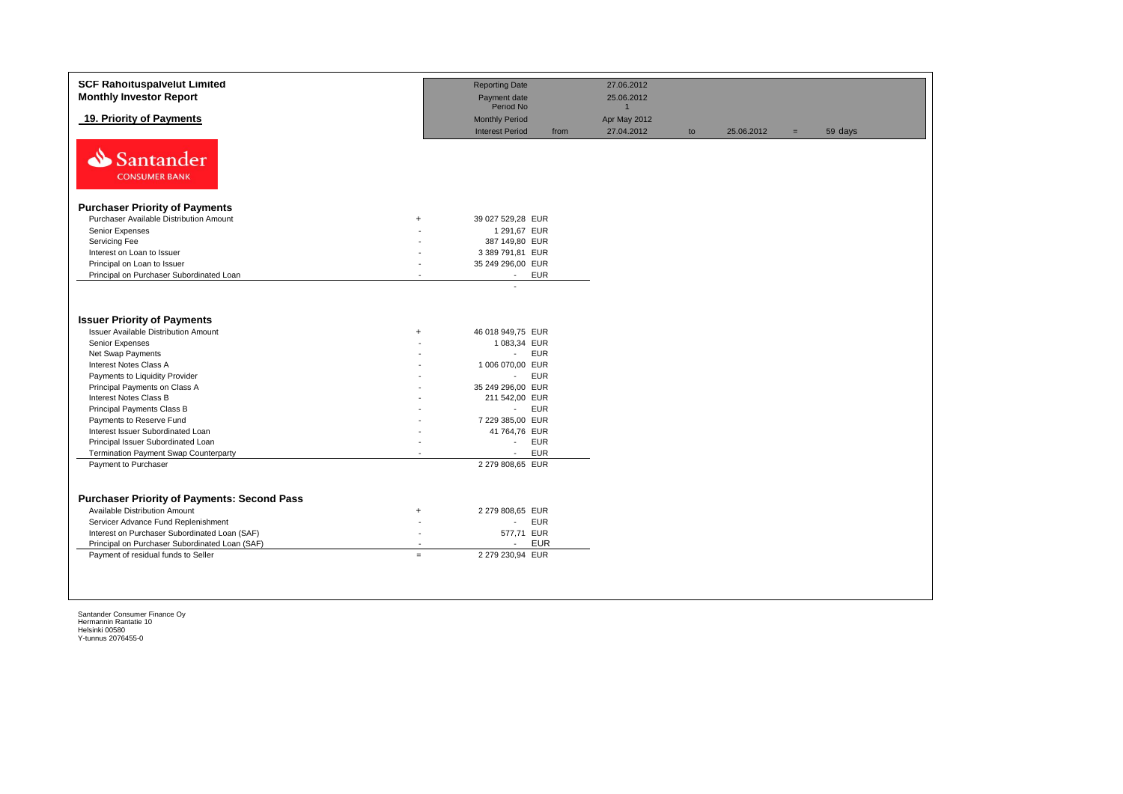| <b>SCF Rahoituspalvelut Limited</b>                |                          | <b>Reporting Date</b>          | 27.06.2012   |    |            |     |         |
|----------------------------------------------------|--------------------------|--------------------------------|--------------|----|------------|-----|---------|
| <b>Monthly Investor Report</b>                     |                          | Payment date                   | 25.06.2012   |    |            |     |         |
|                                                    |                          | Period No                      | $\mathbf{1}$ |    |            |     |         |
| 19. Priority of Payments                           |                          | <b>Monthly Period</b>          | Apr May 2012 |    |            |     |         |
|                                                    |                          | <b>Interest Period</b><br>from | 27.04.2012   | to | 25.06.2012 | $=$ | 59 days |
| Santander<br><b>CONSUMER BANK</b>                  |                          |                                |              |    |            |     |         |
| <b>Purchaser Priority of Payments</b>              |                          |                                |              |    |            |     |         |
| Purchaser Available Distribution Amount            | $+$                      | 39 027 529,28 EUR              |              |    |            |     |         |
| Senior Expenses                                    |                          | 1 291,67 EUR                   |              |    |            |     |         |
| Servicing Fee                                      |                          | 387 149,80 EUR                 |              |    |            |     |         |
| Interest on Loan to Issuer                         |                          | 3 389 791,81 EUR               |              |    |            |     |         |
| Principal on Loan to Issuer                        | $\overline{\phantom{a}}$ | 35 249 296,00 EUR              |              |    |            |     |         |
| Principal on Purchaser Subordinated Loan           |                          | <b>EUR</b><br>$\sim$           |              |    |            |     |         |
| <b>Issuer Priority of Payments</b>                 |                          |                                |              |    |            |     |         |
| <b>Issuer Available Distribution Amount</b>        | $\ddot{}$                | 46 018 949,75 EUR              |              |    |            |     |         |
| Senior Expenses                                    |                          | 1 083,34 EUR                   |              |    |            |     |         |
| Net Swap Payments                                  |                          | <b>EUR</b><br>$\sim$           |              |    |            |     |         |
| Interest Notes Class A                             | $\overline{\phantom{a}}$ | 1 006 070,00 EUR               |              |    |            |     |         |
| Payments to Liquidity Provider                     | $\overline{\phantom{a}}$ | <b>EUR</b><br>$\sim$           |              |    |            |     |         |
| Principal Payments on Class A                      |                          | 35 249 296,00 EUR              |              |    |            |     |         |
| Interest Notes Class B                             |                          | 211 542,00 EUR                 |              |    |            |     |         |
| Principal Payments Class B                         |                          | <b>EUR</b><br>$\sim$           |              |    |            |     |         |
| Payments to Reserve Fund                           |                          | 7 229 385,00 EUR               |              |    |            |     |         |
| Interest Issuer Subordinated Loan                  |                          | 41 764,76 EUR                  |              |    |            |     |         |
| Principal Issuer Subordinated Loan                 |                          | <b>EUR</b>                     |              |    |            |     |         |
| <b>Termination Payment Swap Counterparty</b>       |                          | <b>EUR</b><br>$\blacksquare$   |              |    |            |     |         |
| Payment to Purchaser                               |                          | 2 279 808,65 EUR               |              |    |            |     |         |
|                                                    |                          |                                |              |    |            |     |         |
| <b>Purchaser Priority of Payments: Second Pass</b> |                          |                                |              |    |            |     |         |
| Available Distribution Amount                      | $^{+}$                   | 2 279 808,65 EUR               |              |    |            |     |         |
| Servicer Advance Fund Replenishment                | $\overline{\phantom{a}}$ | <b>EUR</b><br>$\sim 100$       |              |    |            |     |         |
| Interest on Purchaser Subordinated Loan (SAF)      | $\sim$                   | 577,71 EUR                     |              |    |            |     |         |
| Principal on Purchaser Subordinated Loan (SAF)     |                          | <b>EUR</b><br>$\blacksquare$   |              |    |            |     |         |
| Payment of residual funds to Seller                | $\equiv$                 | 2 279 230,94 EUR               |              |    |            |     |         |
|                                                    |                          |                                |              |    |            |     |         |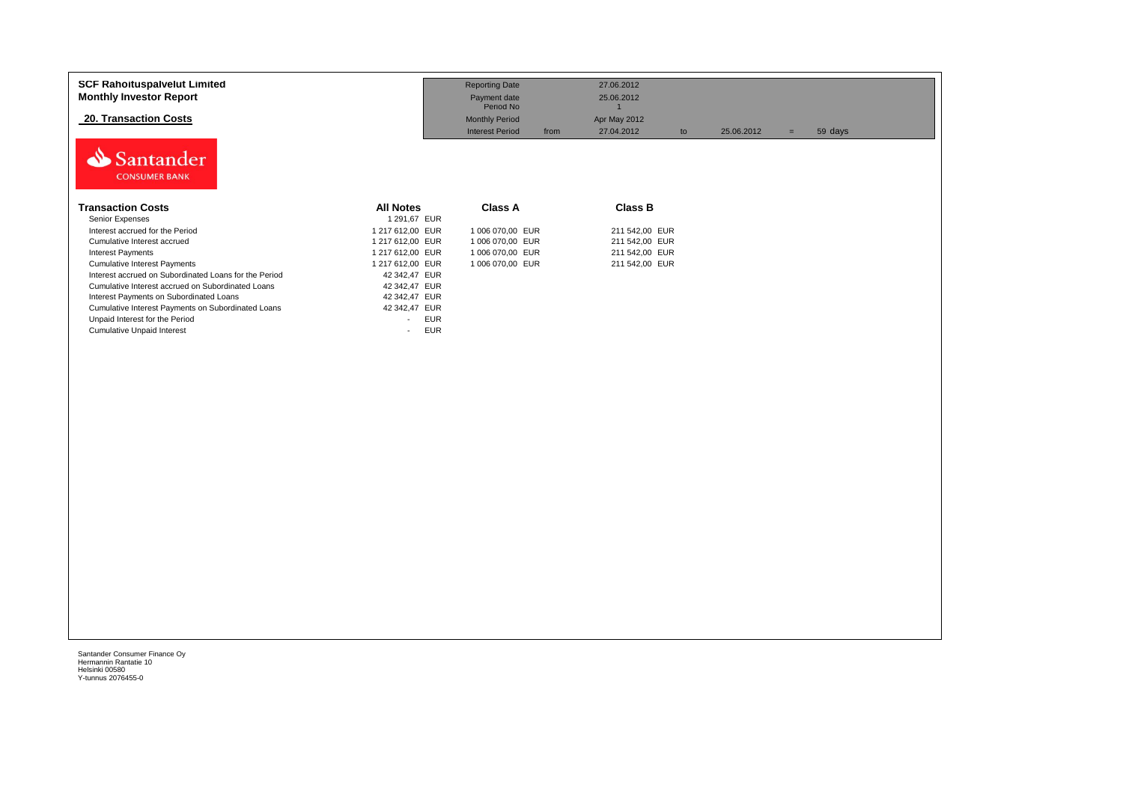| <b>SCF Rahoituspalvelut Limited</b><br><b>Monthly Investor Report</b><br><b>20. Transaction Costs</b><br>Santander<br><b>CONSUMER BANK</b> |                      | <b>Reporting Date</b><br>Payment date<br>Period No<br><b>Monthly Period</b><br><b>Interest Period</b><br>from | 27.06.2012<br>25.06.2012<br>Apr May 2012<br>27.04.2012 | 25.06.2012<br>to | 59 days<br>$=$ |
|--------------------------------------------------------------------------------------------------------------------------------------------|----------------------|---------------------------------------------------------------------------------------------------------------|--------------------------------------------------------|------------------|----------------|
| <b>Transaction Costs</b>                                                                                                                   | <b>All Notes</b>     | <b>Class A</b>                                                                                                | <b>Class B</b>                                         |                  |                |
| Senior Expenses                                                                                                                            | 1 291,67 EUR         |                                                                                                               |                                                        |                  |                |
| Interest accrued for the Period                                                                                                            | 1 217 612,00 EUR     | 1 006 070,00 EUR                                                                                              | 211 542,00 EUR                                         |                  |                |
| Cumulative Interest accrued                                                                                                                | 1 217 612.00 EUR     | 1 006 070,00 EUR                                                                                              | 211 542,00 EUR                                         |                  |                |
| <b>Interest Payments</b>                                                                                                                   | 1 217 612,00 EUR     | 1 006 070,00 EUR                                                                                              | 211 542,00 EUR                                         |                  |                |
| <b>Cumulative Interest Payments</b>                                                                                                        | 1 217 612,00 EUR     | 1 006 070,00 EUR                                                                                              | 211 542,00 EUR                                         |                  |                |
| Interest accrued on Subordinated Loans for the Period                                                                                      | 42 342,47 EUR        |                                                                                                               |                                                        |                  |                |
| Cumulative Interest accrued on Subordinated Loans                                                                                          | 42 342,47 EUR        |                                                                                                               |                                                        |                  |                |
| Interest Payments on Subordinated Loans                                                                                                    | 42 342,47 EUR        |                                                                                                               |                                                        |                  |                |
| Cumulative Interest Payments on Subordinated Loans                                                                                         | 42 342,47 EUR        |                                                                                                               |                                                        |                  |                |
| Unpaid Interest for the Period                                                                                                             | <b>EUR</b>           |                                                                                                               |                                                        |                  |                |
| <b>Cumulative Unpaid Interest</b>                                                                                                          | <b>EUR</b><br>$\sim$ |                                                                                                               |                                                        |                  |                |
|                                                                                                                                            |                      |                                                                                                               |                                                        |                  |                |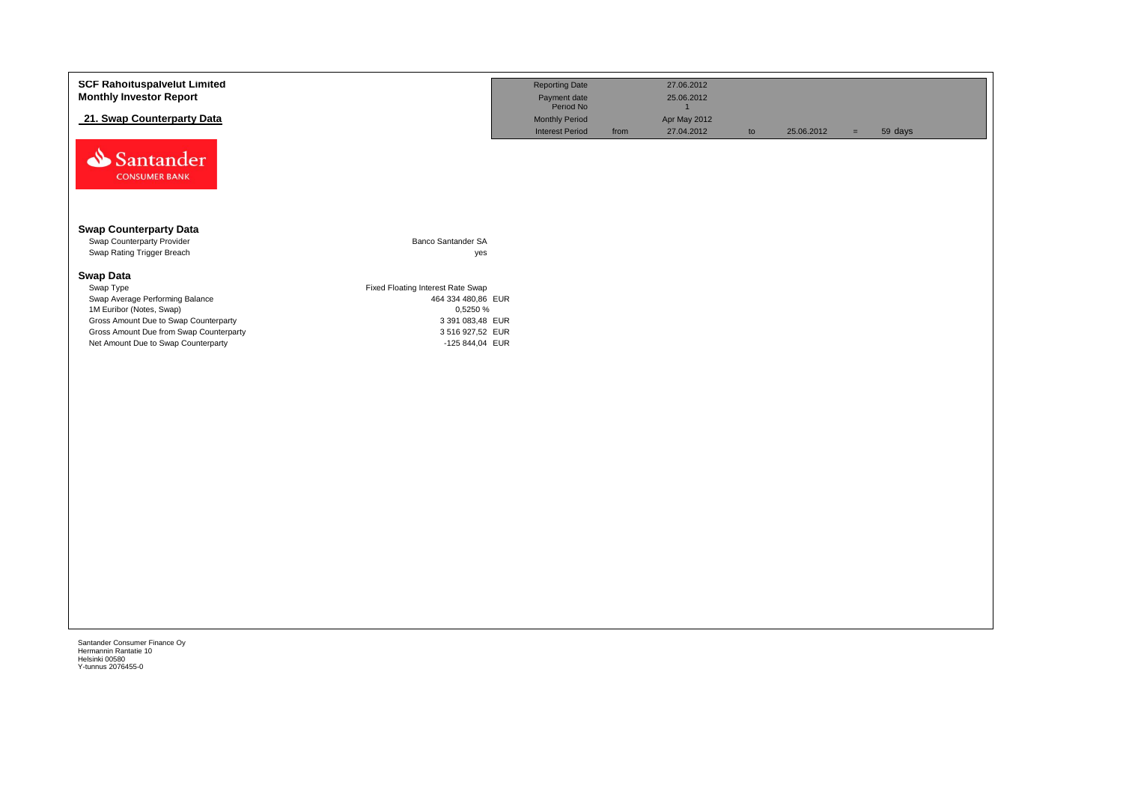| <b>SCF Rahoituspalvelut Limited</b>                         |                                   | <b>Reporting Date</b>     |      | 27.06.2012     |    |            |     |         |
|-------------------------------------------------------------|-----------------------------------|---------------------------|------|----------------|----|------------|-----|---------|
| <b>Monthly Investor Report</b>                              |                                   |                           |      | 25.06.2012     |    |            |     |         |
|                                                             |                                   | Payment date<br>Period No |      | $\overline{1}$ |    |            |     |         |
| 21. Swap Counterparty Data                                  |                                   | <b>Monthly Period</b>     |      | Apr May 2012   |    |            |     |         |
|                                                             |                                   | <b>Interest Period</b>    | from | 27.04.2012     | to | 25.06.2012 | $=$ | 59 days |
| Santander<br><b>CONSUMER BANK</b>                           |                                   |                           |      |                |    |            |     |         |
| <b>Swap Counterparty Data</b><br>Swap Counterparty Provider | Banco Santander SA                |                           |      |                |    |            |     |         |
| Swap Rating Trigger Breach                                  | yes                               |                           |      |                |    |            |     |         |
|                                                             |                                   |                           |      |                |    |            |     |         |
| <b>Swap Data</b>                                            |                                   |                           |      |                |    |            |     |         |
| Swap Type                                                   | Fixed Floating Interest Rate Swap |                           |      |                |    |            |     |         |
| Swap Average Performing Balance                             | 464 334 480,86 EUR                |                           |      |                |    |            |     |         |
| 1M Euribor (Notes, Swap)                                    | 0,5250 %                          |                           |      |                |    |            |     |         |
| Gross Amount Due to Swap Counterparty                       | 3 391 083,48 EUR                  |                           |      |                |    |            |     |         |
| Gross Amount Due from Swap Counterparty                     | 3 516 927,52 EUR                  |                           |      |                |    |            |     |         |
| Net Amount Due to Swap Counterparty                         | -125 844,04 EUR                   |                           |      |                |    |            |     |         |
|                                                             |                                   |                           |      |                |    |            |     |         |
|                                                             |                                   |                           |      |                |    |            |     |         |
|                                                             |                                   |                           |      |                |    |            |     |         |
|                                                             |                                   |                           |      |                |    |            |     |         |
|                                                             |                                   |                           |      |                |    |            |     |         |
|                                                             |                                   |                           |      |                |    |            |     |         |
|                                                             |                                   |                           |      |                |    |            |     |         |
|                                                             |                                   |                           |      |                |    |            |     |         |
|                                                             |                                   |                           |      |                |    |            |     |         |
|                                                             |                                   |                           |      |                |    |            |     |         |
|                                                             |                                   |                           |      |                |    |            |     |         |
|                                                             |                                   |                           |      |                |    |            |     |         |
|                                                             |                                   |                           |      |                |    |            |     |         |
|                                                             |                                   |                           |      |                |    |            |     |         |
|                                                             |                                   |                           |      |                |    |            |     |         |
|                                                             |                                   |                           |      |                |    |            |     |         |
|                                                             |                                   |                           |      |                |    |            |     |         |
|                                                             |                                   |                           |      |                |    |            |     |         |
|                                                             |                                   |                           |      |                |    |            |     |         |
|                                                             |                                   |                           |      |                |    |            |     |         |
|                                                             |                                   |                           |      |                |    |            |     |         |